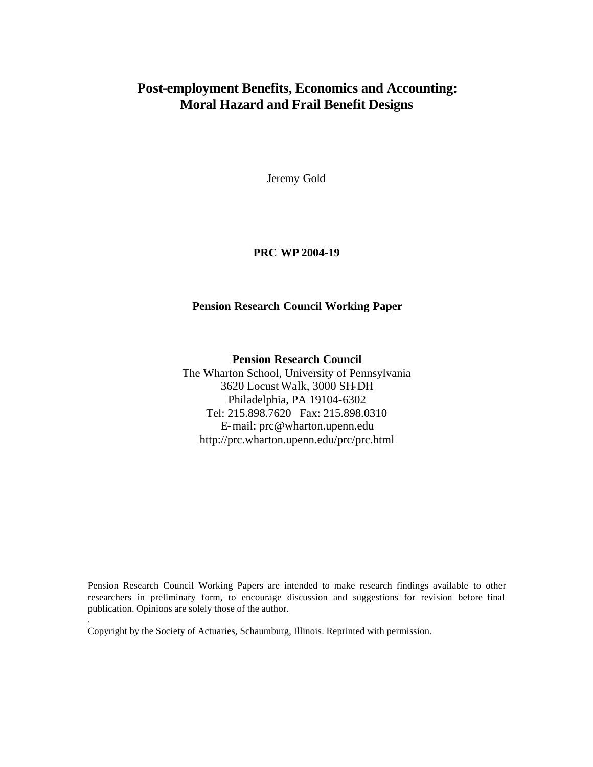# **Post-employment Benefits, Economics and Accounting: Moral Hazard and Frail Benefit Designs**

Jeremy Gold

**PRC WP 2004-19**

#### **Pension Research Council Working Paper**

**Pension Research Council** The Wharton School, University of Pennsylvania 3620 Locust Walk, 3000 SH-DH Philadelphia, PA 19104-6302 Tel: 215.898.7620 Fax: 215.898.0310 E-mail: prc@wharton.upenn.edu http://prc.wharton.upenn.edu/prc/prc.html

Pension Research Council Working Papers are intended to make research findings available to other researchers in preliminary form, to encourage discussion and suggestions for revision before final publication. Opinions are solely those of the author.

Copyright by the Society of Actuaries, Schaumburg, Illinois. Reprinted with permission.

.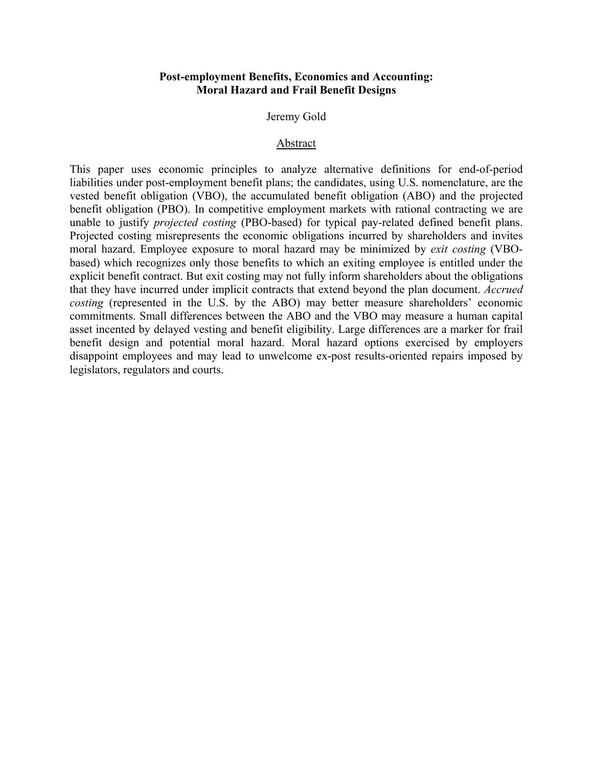## **Post-employment Benefits, Economics and Accounting: Moral Hazard and Frail Benefit Designs**

#### Jeremy Gold

### Abstract

This paper uses economic principles to analyze alternative definitions for end-of-period liabilities under post-employment benefit plans; the candidates, using U.S. nomenclature, are the vested benefit obligation (VBO), the accumulated benefit obligation (ABO) and the projected benefit obligation (PBO). In competitive employment markets with rational contracting we are unable to justify *projected costing* (PBO-based) for typical pay-related defined benefit plans. Projected costing misrepresents the economic obligations incurred by shareholders and invites moral hazard. Employee exposure to moral hazard may be minimized by *exit costing* (VBObased) which recognizes only those benefits to which an exiting employee is entitled under the explicit benefit contract. But exit costing may not fully inform shareholders about the obligations that they have incurred under implicit contracts that extend beyond the plan document. *Accrued costing* (represented in the U.S. by the ABO) may better measure shareholders' economic commitments. Small differences between the ABO and the VBO may measure a human capital asset incented by delayed vesting and benefit eligibility. Large differences are a marker for frail benefit design and potential moral hazard. Moral hazard options exercised by employers disappoint employees and may lead to unwelcome ex-post results-oriented repairs imposed by legislators, regulators and courts.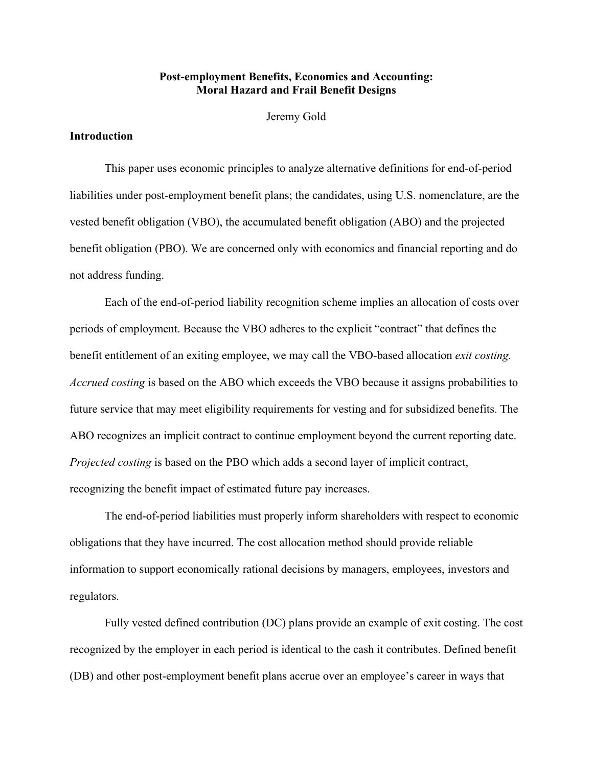## **Post-employment Benefits, Economics and Accounting: Moral Hazard and Frail Benefit Designs**

Jeremy Gold

## **Introduction**

This paper uses economic principles to analyze alternative definitions for end-of-period liabilities under post-employment benefit plans; the candidates, using U.S. nomenclature, are the vested benefit obligation (VBO), the accumulated benefit obligation (ABO) and the projected benefit obligation (PBO). We are concerned only with economics and financial reporting and do not address funding.

Each of the end-of-period liability recognition scheme implies an allocation of costs over periods of employment. Because the VBO adheres to the explicit "contract" that defines the benefit entitlement of an exiting employee, we may call the VBO-based allocation *exit costing. Accrued costing* is based on the ABO which exceeds the VBO because it assigns probabilities to future service that may meet eligibility requirements for vesting and for subsidized benefits. The ABO recognizes an implicit contract to continue employment beyond the current reporting date. *Projected costing* is based on the PBO which adds a second layer of implicit contract, recognizing the benefit impact of estimated future pay increases.

The end-of-period liabilities must properly inform shareholders with respect to economic obligations that they have incurred. The cost allocation method should provide reliable information to support economically rational decisions by managers, employees, investors and regulators.

Fully vested defined contribution (DC) plans provide an example of exit costing. The cost recognized by the employer in each period is identical to the cash it contributes. Defined benefit (DB) and other post-employment benefit plans accrue over an employee's career in ways that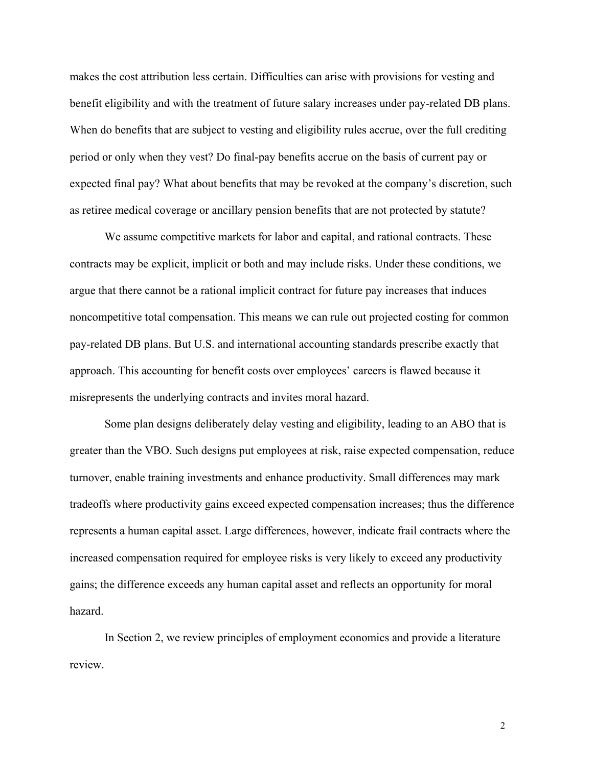makes the cost attribution less certain. Difficulties can arise with provisions for vesting and benefit eligibility and with the treatment of future salary increases under pay-related DB plans. When do benefits that are subject to vesting and eligibility rules accrue, over the full crediting period or only when they vest? Do final-pay benefits accrue on the basis of current pay or expected final pay? What about benefits that may be revoked at the company's discretion, such as retiree medical coverage or ancillary pension benefits that are not protected by statute?

We assume competitive markets for labor and capital, and rational contracts. These contracts may be explicit, implicit or both and may include risks. Under these conditions, we argue that there cannot be a rational implicit contract for future pay increases that induces noncompetitive total compensation. This means we can rule out projected costing for common pay-related DB plans. But U.S. and international accounting standards prescribe exactly that approach. This accounting for benefit costs over employees' careers is flawed because it misrepresents the underlying contracts and invites moral hazard.

Some plan designs deliberately delay vesting and eligibility, leading to an ABO that is greater than the VBO. Such designs put employees at risk, raise expected compensation, reduce turnover, enable training investments and enhance productivity. Small differences may mark tradeoffs where productivity gains exceed expected compensation increases; thus the difference represents a human capital asset. Large differences, however, indicate frail contracts where the increased compensation required for employee risks is very likely to exceed any productivity gains; the difference exceeds any human capital asset and reflects an opportunity for moral hazard.

In Section 2, we review principles of employment economics and provide a literature review.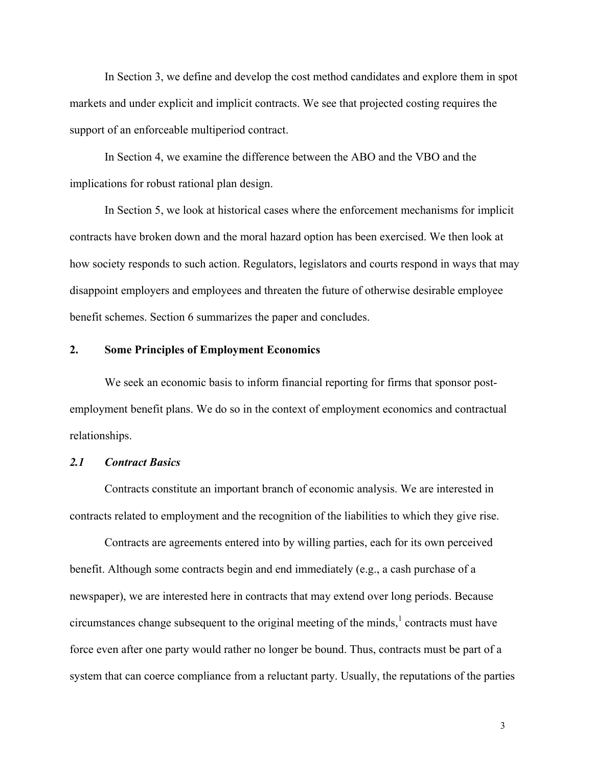In Section 3, we define and develop the cost method candidates and explore them in spot markets and under explicit and implicit contracts. We see that projected costing requires the support of an enforceable multiperiod contract.

In Section 4, we examine the difference between the ABO and the VBO and the implications for robust rational plan design.

In Section 5, we look at historical cases where the enforcement mechanisms for implicit contracts have broken down and the moral hazard option has been exercised. We then look at how society responds to such action. Regulators, legislators and courts respond in ways that may disappoint employers and employees and threaten the future of otherwise desirable employee benefit schemes. Section 6 summarizes the paper and concludes.

#### **2. Some Principles of Employment Economics**

We seek an economic basis to inform financial reporting for firms that sponsor postemployment benefit plans. We do so in the context of employment economics and contractual relationships.

### *2.1 Contract Basics*

Contracts constitute an important branch of economic analysis. We are interested in contracts related to employment and the recognition of the liabilities to which they give rise.

Contracts are agreements entered into by willing parties, each for its own perceived benefit. Although some contracts begin and end immediately (e.g., a cash purchase of a newspaper), we are interested here in contracts that may extend over long periods. Because circumstances change subsequent to the original meeting of the minds, $\frac{1}{2}$  contracts must have force even after one party would rather no longer be bound. Thus, contracts must be part of a system that can coerce compliance from a reluctant party. Usually, the reputations of the parties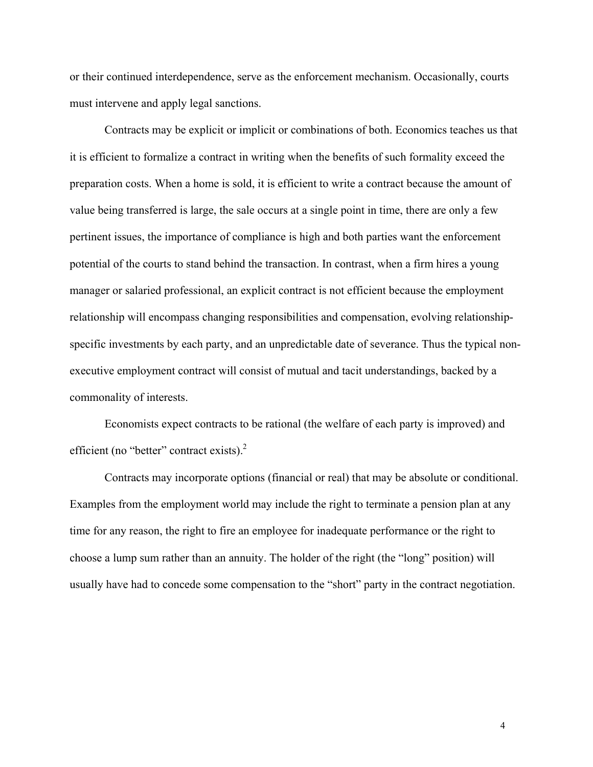or their continued interdependence, serve as the enforcement mechanism. Occasionally, courts must intervene and apply legal sanctions.

Contracts may be explicit or implicit or combinations of both. Economics teaches us that it is efficient to formalize a contract in writing when the benefits of such formality exceed the preparation costs. When a home is sold, it is efficient to write a contract because the amount of value being transferred is large, the sale occurs at a single point in time, there are only a few pertinent issues, the importance of compliance is high and both parties want the enforcement potential of the courts to stand behind the transaction. In contrast, when a firm hires a young manager or salaried professional, an explicit contract is not efficient because the employment relationship will encompass changing responsibilities and compensation, evolving relationshipspecific investments by each party, and an unpredictable date of severance. Thus the typical nonexecutive employment contract will consist of mutual and tacit understandings, backed by a commonality of interests.

Economists expect contracts to be rational (the welfare of each party is improved) and efficient (no "better" contract exists).<sup>2</sup>

Contracts may incorporate options (financial or real) that may be absolute or conditional. Examples from the employment world may include the right to terminate a pension plan at any time for any reason, the right to fire an employee for inadequate performance or the right to choose a lump sum rather than an annuity. The holder of the right (the "long" position) will usually have had to concede some compensation to the "short" party in the contract negotiation.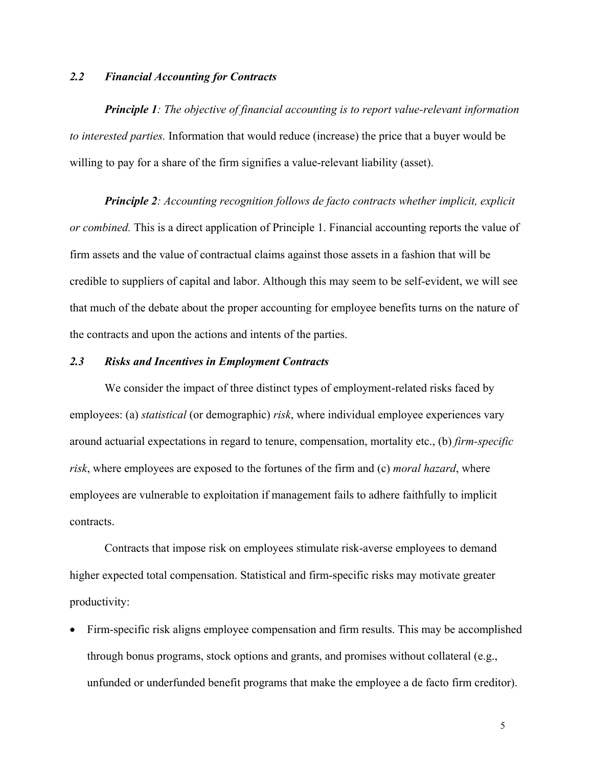## *2.2 Financial Accounting for Contracts*

*Principle 1: The objective of financial accounting is to report value-relevant information to interested parties.* Information that would reduce (increase) the price that a buyer would be willing to pay for a share of the firm signifies a value-relevant liability (asset).

*Principle 2: Accounting recognition follows de facto contracts whether implicit, explicit or combined.* This is a direct application of Principle 1. Financial accounting reports the value of firm assets and the value of contractual claims against those assets in a fashion that will be credible to suppliers of capital and labor. Although this may seem to be self-evident, we will see that much of the debate about the proper accounting for employee benefits turns on the nature of the contracts and upon the actions and intents of the parties.

### *2.3 Risks and Incentives in Employment Contracts*

We consider the impact of three distinct types of employment-related risks faced by employees: (a) *statistical* (or demographic) *risk*, where individual employee experiences vary around actuarial expectations in regard to tenure, compensation, mortality etc., (b) *firm-specific risk*, where employees are exposed to the fortunes of the firm and (c) *moral hazard*, where employees are vulnerable to exploitation if management fails to adhere faithfully to implicit contracts.

Contracts that impose risk on employees stimulate risk-averse employees to demand higher expected total compensation. Statistical and firm-specific risks may motivate greater productivity:

• Firm-specific risk aligns employee compensation and firm results. This may be accomplished through bonus programs, stock options and grants, and promises without collateral (e.g., unfunded or underfunded benefit programs that make the employee a de facto firm creditor).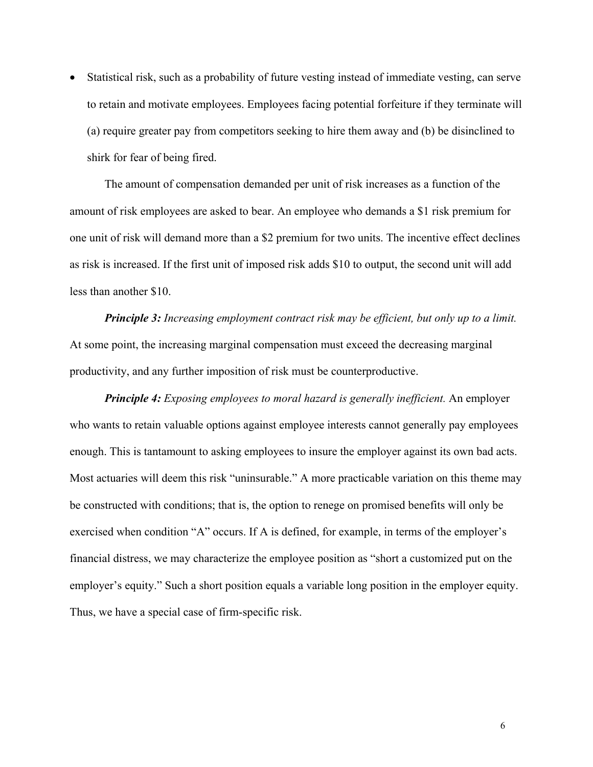• Statistical risk, such as a probability of future vesting instead of immediate vesting, can serve to retain and motivate employees. Employees facing potential forfeiture if they terminate will (a) require greater pay from competitors seeking to hire them away and (b) be disinclined to shirk for fear of being fired.

The amount of compensation demanded per unit of risk increases as a function of the amount of risk employees are asked to bear. An employee who demands a \$1 risk premium for one unit of risk will demand more than a \$2 premium for two units. The incentive effect declines as risk is increased. If the first unit of imposed risk adds \$10 to output, the second unit will add less than another \$10.

*Principle 3: Increasing employment contract risk may be efficient, but only up to a limit.* At some point, the increasing marginal compensation must exceed the decreasing marginal productivity, and any further imposition of risk must be counterproductive.

*Principle 4: Exposing employees to moral hazard is generally inefficient.* An employer who wants to retain valuable options against employee interests cannot generally pay employees enough. This is tantamount to asking employees to insure the employer against its own bad acts. Most actuaries will deem this risk "uninsurable." A more practicable variation on this theme may be constructed with conditions; that is, the option to renege on promised benefits will only be exercised when condition "A" occurs. If A is defined, for example, in terms of the employer's financial distress, we may characterize the employee position as "short a customized put on the employer's equity." Such a short position equals a variable long position in the employer equity. Thus, we have a special case of firm-specific risk.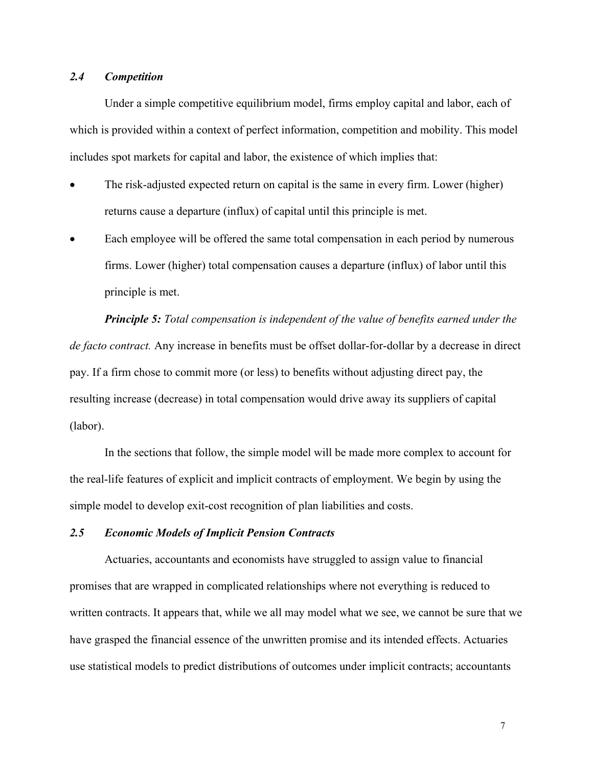## *2.4 Competition*

Under a simple competitive equilibrium model, firms employ capital and labor, each of which is provided within a context of perfect information, competition and mobility. This model includes spot markets for capital and labor, the existence of which implies that:

- The risk-adjusted expected return on capital is the same in every firm. Lower (higher) returns cause a departure (influx) of capital until this principle is met.
- Each employee will be offered the same total compensation in each period by numerous firms. Lower (higher) total compensation causes a departure (influx) of labor until this principle is met.

*Principle 5: Total compensation is independent of the value of benefits earned under the de facto contract.* Any increase in benefits must be offset dollar-for-dollar by a decrease in direct pay. If a firm chose to commit more (or less) to benefits without adjusting direct pay, the resulting increase (decrease) in total compensation would drive away its suppliers of capital (labor).

In the sections that follow, the simple model will be made more complex to account for the real-life features of explicit and implicit contracts of employment. We begin by using the simple model to develop exit-cost recognition of plan liabilities and costs.

## *2.5 Economic Models of Implicit Pension Contracts*

Actuaries, accountants and economists have struggled to assign value to financial promises that are wrapped in complicated relationships where not everything is reduced to written contracts. It appears that, while we all may model what we see, we cannot be sure that we have grasped the financial essence of the unwritten promise and its intended effects. Actuaries use statistical models to predict distributions of outcomes under implicit contracts; accountants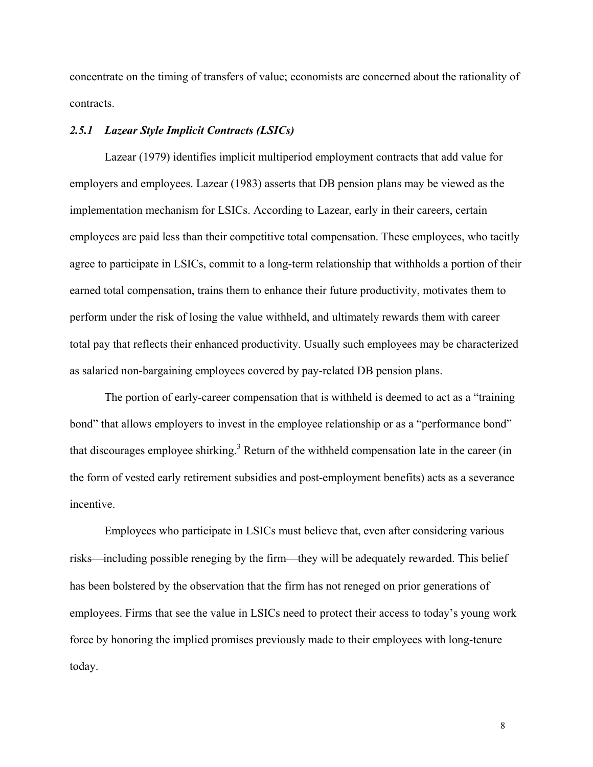concentrate on the timing of transfers of value; economists are concerned about the rationality of contracts.

## *2.5.1 Lazear Style Implicit Contracts (LSICs)*

Lazear (1979) identifies implicit multiperiod employment contracts that add value for employers and employees. Lazear (1983) asserts that DB pension plans may be viewed as the implementation mechanism for LSICs. According to Lazear, early in their careers, certain employees are paid less than their competitive total compensation. These employees, who tacitly agree to participate in LSICs, commit to a long-term relationship that withholds a portion of their earned total compensation, trains them to enhance their future productivity, motivates them to perform under the risk of losing the value withheld, and ultimately rewards them with career total pay that reflects their enhanced productivity. Usually such employees may be characterized as salaried non-bargaining employees covered by pay-related DB pension plans.

The portion of early-career compensation that is withheld is deemed to act as a "training bond" that allows employers to invest in the employee relationship or as a "performance bond" that discourages employee shirking.<sup>3</sup> Return of the withheld compensation late in the career (in the form of vested early retirement subsidies and post-employment benefits) acts as a severance incentive.

Employees who participate in LSICs must believe that, even after considering various risks—including possible reneging by the firm—they will be adequately rewarded. This belief has been bolstered by the observation that the firm has not reneged on prior generations of employees. Firms that see the value in LSICs need to protect their access to today's young work force by honoring the implied promises previously made to their employees with long-tenure today.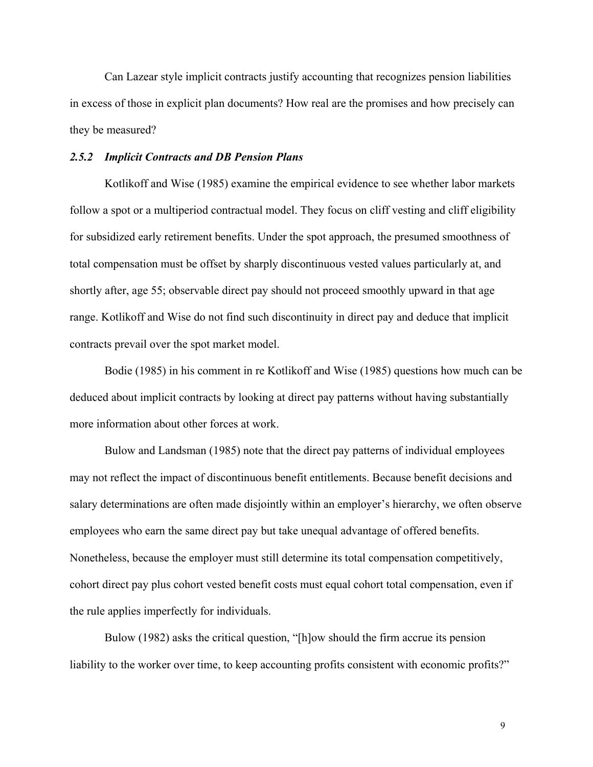Can Lazear style implicit contracts justify accounting that recognizes pension liabilities in excess of those in explicit plan documents? How real are the promises and how precisely can they be measured?

#### *2.5.2 Implicit Contracts and DB Pension Plans*

Kotlikoff and Wise (1985) examine the empirical evidence to see whether labor markets follow a spot or a multiperiod contractual model. They focus on cliff vesting and cliff eligibility for subsidized early retirement benefits. Under the spot approach, the presumed smoothness of total compensation must be offset by sharply discontinuous vested values particularly at, and shortly after, age 55; observable direct pay should not proceed smoothly upward in that age range. Kotlikoff and Wise do not find such discontinuity in direct pay and deduce that implicit contracts prevail over the spot market model.

Bodie (1985) in his comment in re Kotlikoff and Wise (1985) questions how much can be deduced about implicit contracts by looking at direct pay patterns without having substantially more information about other forces at work.

Bulow and Landsman (1985) note that the direct pay patterns of individual employees may not reflect the impact of discontinuous benefit entitlements. Because benefit decisions and salary determinations are often made disjointly within an employer's hierarchy, we often observe employees who earn the same direct pay but take unequal advantage of offered benefits. Nonetheless, because the employer must still determine its total compensation competitively, cohort direct pay plus cohort vested benefit costs must equal cohort total compensation, even if the rule applies imperfectly for individuals.

Bulow (1982) asks the critical question, "[h]ow should the firm accrue its pension liability to the worker over time, to keep accounting profits consistent with economic profits?"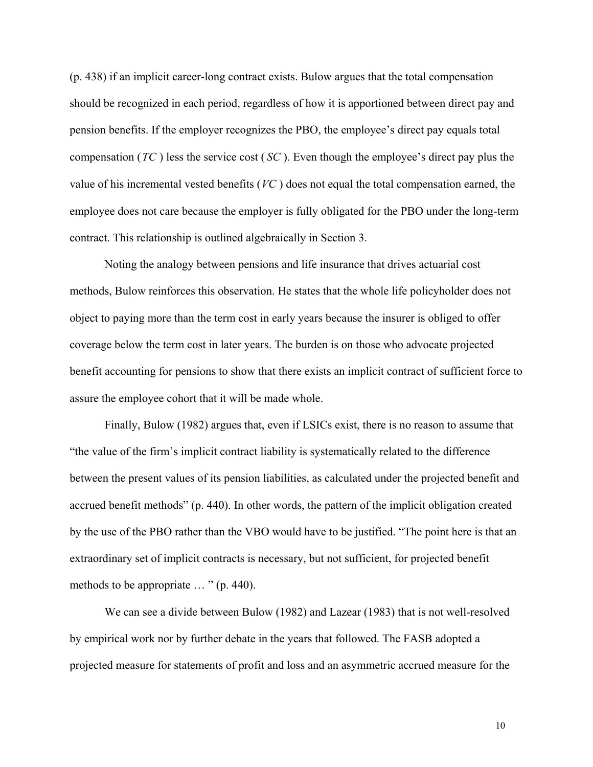(p. 438) if an implicit career-long contract exists. Bulow argues that the total compensation should be recognized in each period, regardless of how it is apportioned between direct pay and pension benefits. If the employer recognizes the PBO, the employee's direct pay equals total compensation (*TC* ) less the service cost ( *SC* ). Even though the employee's direct pay plus the value of his incremental vested benefits (*VC* ) does not equal the total compensation earned, the employee does not care because the employer is fully obligated for the PBO under the long-term contract. This relationship is outlined algebraically in Section 3.

Noting the analogy between pensions and life insurance that drives actuarial cost methods, Bulow reinforces this observation. He states that the whole life policyholder does not object to paying more than the term cost in early years because the insurer is obliged to offer coverage below the term cost in later years. The burden is on those who advocate projected benefit accounting for pensions to show that there exists an implicit contract of sufficient force to assure the employee cohort that it will be made whole.

Finally, Bulow (1982) argues that, even if LSICs exist, there is no reason to assume that "the value of the firm's implicit contract liability is systematically related to the difference between the present values of its pension liabilities, as calculated under the projected benefit and accrued benefit methods" (p. 440). In other words, the pattern of the implicit obligation created by the use of the PBO rather than the VBO would have to be justified. "The point here is that an extraordinary set of implicit contracts is necessary, but not sufficient, for projected benefit methods to be appropriate … " (p. 440).

We can see a divide between Bulow (1982) and Lazear (1983) that is not well-resolved by empirical work nor by further debate in the years that followed. The FASB adopted a projected measure for statements of profit and loss and an asymmetric accrued measure for the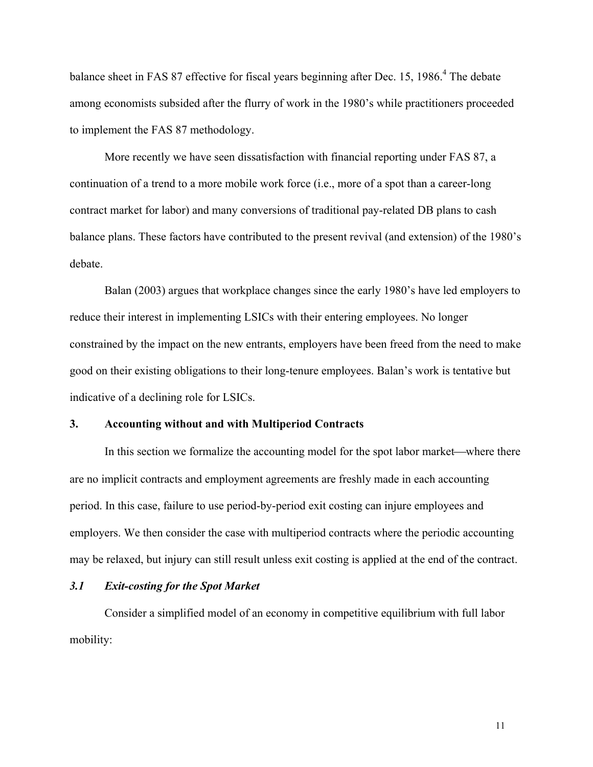balance sheet in FAS 87 effective for fiscal years beginning after Dec. 15, 1986.<sup>4</sup> The debate among economists subsided after the flurry of work in the 1980's while practitioners proceeded to implement the FAS 87 methodology.

More recently we have seen dissatisfaction with financial reporting under FAS 87, a continuation of a trend to a more mobile work force (i.e., more of a spot than a career-long contract market for labor) and many conversions of traditional pay-related DB plans to cash balance plans. These factors have contributed to the present revival (and extension) of the 1980's debate.

Balan (2003) argues that workplace changes since the early 1980's have led employers to reduce their interest in implementing LSICs with their entering employees. No longer constrained by the impact on the new entrants, employers have been freed from the need to make good on their existing obligations to their long-tenure employees. Balan's work is tentative but indicative of a declining role for LSICs.

#### **3. Accounting without and with Multiperiod Contracts**

In this section we formalize the accounting model for the spot labor market—where there are no implicit contracts and employment agreements are freshly made in each accounting period. In this case, failure to use period-by-period exit costing can injure employees and employers. We then consider the case with multiperiod contracts where the periodic accounting may be relaxed, but injury can still result unless exit costing is applied at the end of the contract.

## *3.1 Exit-costing for the Spot Market*

Consider a simplified model of an economy in competitive equilibrium with full labor mobility: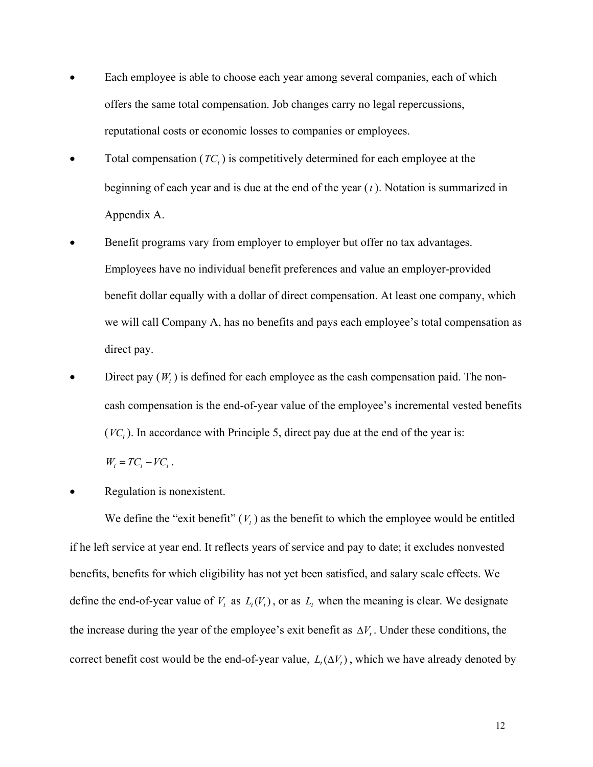- Each employee is able to choose each year among several companies, each of which offers the same total compensation. Job changes carry no legal repercussions, reputational costs or economic losses to companies or employees.
- Total compensation  $(TC_t)$  is competitively determined for each employee at the beginning of each year and is due at the end of the year (*t* ). Notation is summarized in Appendix A.
- Benefit programs vary from employer to employer but offer no tax advantages. Employees have no individual benefit preferences and value an employer-provided benefit dollar equally with a dollar of direct compensation. At least one company, which we will call Company A, has no benefits and pays each employee's total compensation as direct pay.
- Direct pay  $(W_t)$  is defined for each employee as the cash compensation paid. The noncash compensation is the end-of-year value of the employee's incremental vested benefits  $(VC<sub>t</sub>)$ . In accordance with Principle 5, direct pay due at the end of the year is:  $W_t = TC_t - VC_t$ .
- Regulation is nonexistent.

We define the "exit benefit"  $(V_t)$  as the benefit to which the employee would be entitled if he left service at year end. It reflects years of service and pay to date; it excludes nonvested benefits, benefits for which eligibility has not yet been satisfied, and salary scale effects. We define the end-of-year value of  $V_t$  as  $L_t(V_t)$ , or as  $L_t$  when the meaning is clear. We designate the increase during the year of the employee's exit benefit as  $\Delta V_t$ . Under these conditions, the correct benefit cost would be the end-of-year value,  $L_t(\Delta V_t)$ , which we have already denoted by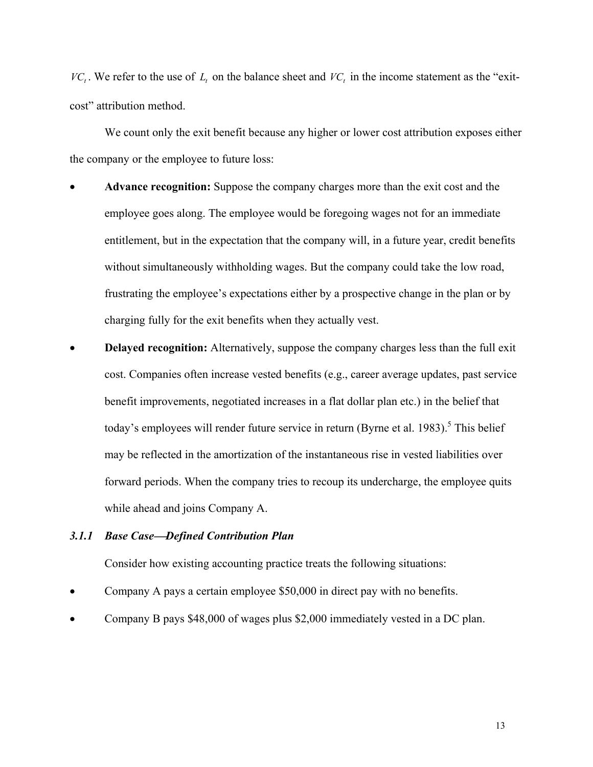$VC<sub>t</sub>$ . We refer to the use of  $L<sub>t</sub>$  on the balance sheet and  $VC<sub>t</sub>$  in the income statement as the "exitcost" attribution method.

We count only the exit benefit because any higher or lower cost attribution exposes either the company or the employee to future loss:

- **Advance recognition:** Suppose the company charges more than the exit cost and the employee goes along. The employee would be foregoing wages not for an immediate entitlement, but in the expectation that the company will, in a future year, credit benefits without simultaneously withholding wages. But the company could take the low road, frustrating the employee's expectations either by a prospective change in the plan or by charging fully for the exit benefits when they actually vest.
- **Delayed recognition:** Alternatively, suppose the company charges less than the full exit cost. Companies often increase vested benefits (e.g., career average updates, past service benefit improvements, negotiated increases in a flat dollar plan etc.) in the belief that today's employees will render future service in return (Byrne et al. 1983).<sup>5</sup> This belief may be reflected in the amortization of the instantaneous rise in vested liabilities over forward periods. When the company tries to recoup its undercharge, the employee quits while ahead and joins Company A.

### *3.1.1 Base CaseDefined Contribution Plan*

Consider how existing accounting practice treats the following situations:

- Company A pays a certain employee \$50,000 in direct pay with no benefits.
- Company B pays \$48,000 of wages plus \$2,000 immediately vested in a DC plan.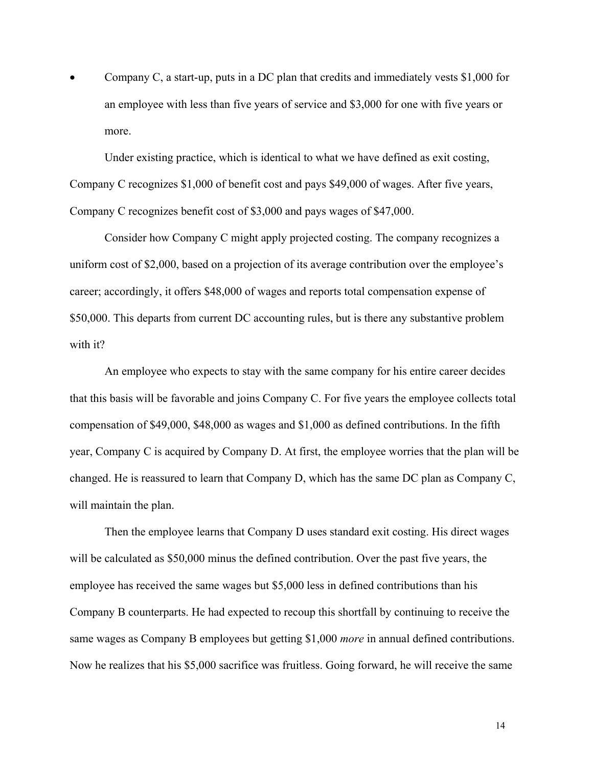• Company C, a start-up, puts in a DC plan that credits and immediately vests \$1,000 for an employee with less than five years of service and \$3,000 for one with five years or more.

Under existing practice, which is identical to what we have defined as exit costing, Company C recognizes \$1,000 of benefit cost and pays \$49,000 of wages. After five years, Company C recognizes benefit cost of \$3,000 and pays wages of \$47,000.

Consider how Company C might apply projected costing. The company recognizes a uniform cost of \$2,000, based on a projection of its average contribution over the employee's career; accordingly, it offers \$48,000 of wages and reports total compensation expense of \$50,000. This departs from current DC accounting rules, but is there any substantive problem with it?

An employee who expects to stay with the same company for his entire career decides that this basis will be favorable and joins Company C. For five years the employee collects total compensation of \$49,000, \$48,000 as wages and \$1,000 as defined contributions. In the fifth year, Company C is acquired by Company D. At first, the employee worries that the plan will be changed. He is reassured to learn that Company D, which has the same DC plan as Company C, will maintain the plan.

Then the employee learns that Company D uses standard exit costing. His direct wages will be calculated as \$50,000 minus the defined contribution. Over the past five years, the employee has received the same wages but \$5,000 less in defined contributions than his Company B counterparts. He had expected to recoup this shortfall by continuing to receive the same wages as Company B employees but getting \$1,000 *more* in annual defined contributions. Now he realizes that his \$5,000 sacrifice was fruitless. Going forward, he will receive the same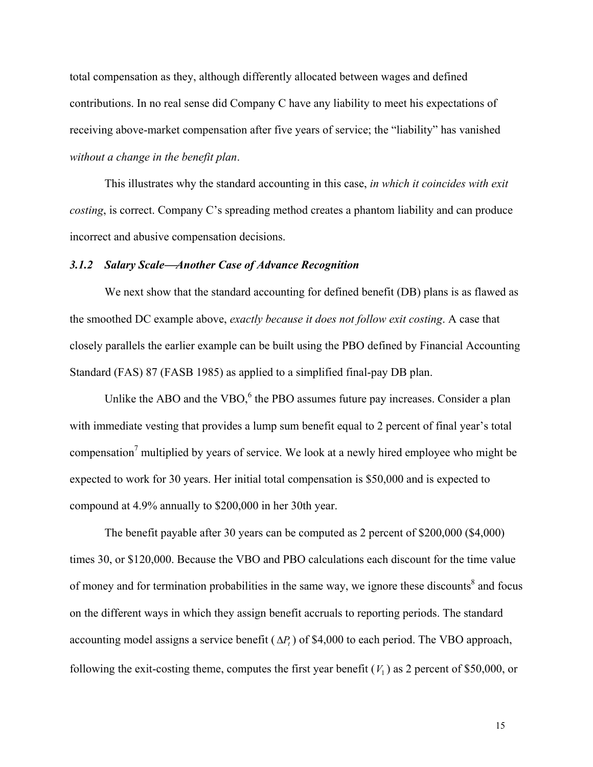total compensation as they, although differently allocated between wages and defined contributions. In no real sense did Company C have any liability to meet his expectations of receiving above-market compensation after five years of service; the "liability" has vanished *without a change in the benefit plan*.

This illustrates why the standard accounting in this case, *in which it coincides with exit costing*, is correct. Company C's spreading method creates a phantom liability and can produce incorrect and abusive compensation decisions.

#### *3.1.2 Salary ScaleAnother Case of Advance Recognition*

We next show that the standard accounting for defined benefit (DB) plans is as flawed as the smoothed DC example above, *exactly because it does not follow exit costing*. A case that closely parallels the earlier example can be built using the PBO defined by Financial Accounting Standard (FAS) 87 (FASB 1985) as applied to a simplified final-pay DB plan.

Unlike the ABO and the VBO, $6$  the PBO assumes future pay increases. Consider a plan with immediate vesting that provides a lump sum benefit equal to 2 percent of final year's total compensation<sup>7</sup> multiplied by years of service. We look at a newly hired employee who might be expected to work for 30 years. Her initial total compensation is \$50,000 and is expected to compound at 4.9% annually to \$200,000 in her 30th year.

The benefit payable after 30 years can be computed as 2 percent of \$200,000 (\$4,000) times 30, or \$120,000. Because the VBO and PBO calculations each discount for the time value of money and for termination probabilities in the same way, we ignore these discounts<sup>8</sup> and focus on the different ways in which they assign benefit accruals to reporting periods. The standard accounting model assigns a service benefit ( $\Delta P_t$ ) of \$4,000 to each period. The VBO approach, following the exit-costing theme, computes the first year benefit  $(V_1)$  as 2 percent of \$50,000, or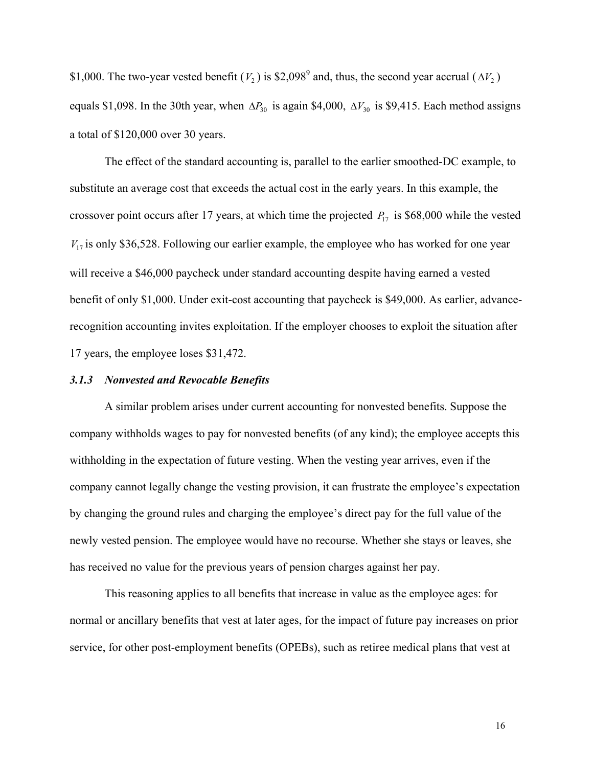\$1,000. The two-year vested benefit ( $V_2$ ) is \$2,098<sup>9</sup> and, thus, the second year accrual ( $\Delta V_2$ ) equals \$1,098. In the 30th year, when  $\Delta P_{30}$  is again \$4,000,  $\Delta V_{30}$  is \$9,415. Each method assigns a total of \$120,000 over 30 years.

The effect of the standard accounting is, parallel to the earlier smoothed-DC example, to substitute an average cost that exceeds the actual cost in the early years. In this example, the crossover point occurs after 17 years, at which time the projected  $P_{17}$  is \$68,000 while the vested  $V_{17}$  is only \$36,528. Following our earlier example, the employee who has worked for one year will receive a \$46,000 paycheck under standard accounting despite having earned a vested benefit of only \$1,000. Under exit-cost accounting that paycheck is \$49,000. As earlier, advancerecognition accounting invites exploitation. If the employer chooses to exploit the situation after 17 years, the employee loses \$31,472.

## *3.1.3 Nonvested and Revocable Benefits*

A similar problem arises under current accounting for nonvested benefits. Suppose the company withholds wages to pay for nonvested benefits (of any kind); the employee accepts this withholding in the expectation of future vesting. When the vesting year arrives, even if the company cannot legally change the vesting provision, it can frustrate the employee's expectation by changing the ground rules and charging the employee's direct pay for the full value of the newly vested pension. The employee would have no recourse. Whether she stays or leaves, she has received no value for the previous years of pension charges against her pay.

This reasoning applies to all benefits that increase in value as the employee ages: for normal or ancillary benefits that vest at later ages, for the impact of future pay increases on prior service, for other post-employment benefits (OPEBs), such as retiree medical plans that vest at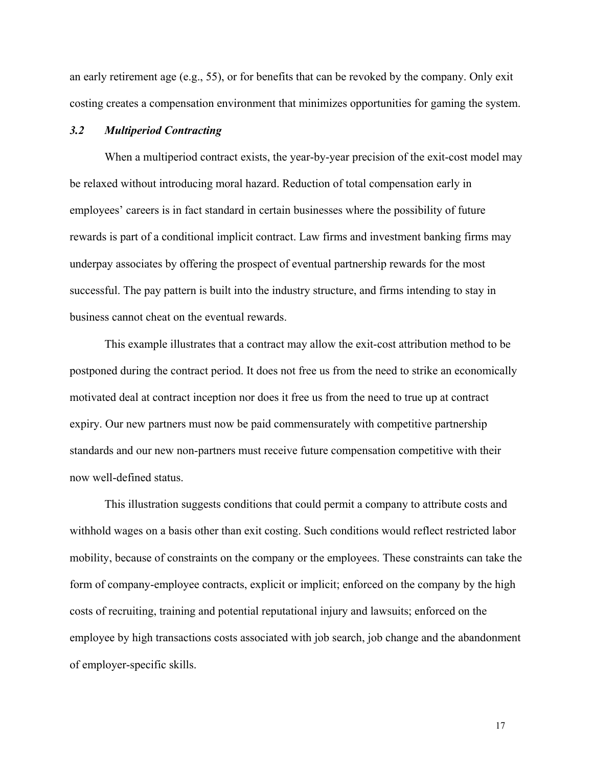an early retirement age (e.g., 55), or for benefits that can be revoked by the company. Only exit costing creates a compensation environment that minimizes opportunities for gaming the system.

## *3.2 Multiperiod Contracting*

When a multiperiod contract exists, the year-by-year precision of the exit-cost model may be relaxed without introducing moral hazard. Reduction of total compensation early in employees' careers is in fact standard in certain businesses where the possibility of future rewards is part of a conditional implicit contract. Law firms and investment banking firms may underpay associates by offering the prospect of eventual partnership rewards for the most successful. The pay pattern is built into the industry structure, and firms intending to stay in business cannot cheat on the eventual rewards.

This example illustrates that a contract may allow the exit-cost attribution method to be postponed during the contract period. It does not free us from the need to strike an economically motivated deal at contract inception nor does it free us from the need to true up at contract expiry. Our new partners must now be paid commensurately with competitive partnership standards and our new non-partners must receive future compensation competitive with their now well-defined status.

This illustration suggests conditions that could permit a company to attribute costs and withhold wages on a basis other than exit costing. Such conditions would reflect restricted labor mobility, because of constraints on the company or the employees. These constraints can take the form of company-employee contracts, explicit or implicit; enforced on the company by the high costs of recruiting, training and potential reputational injury and lawsuits; enforced on the employee by high transactions costs associated with job search, job change and the abandonment of employer-specific skills.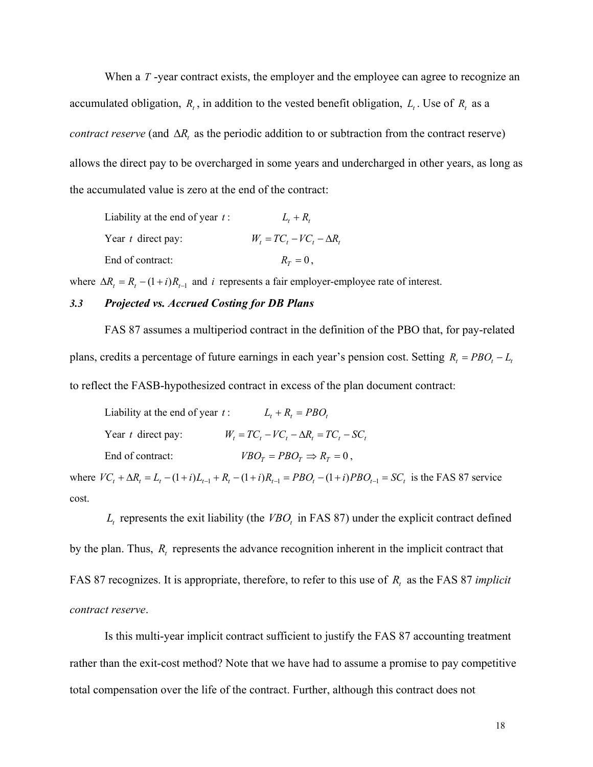When a *T* -year contract exists, the employer and the employee can agree to recognize an accumulated obligation,  $R_t$ , in addition to the vested benefit obligation,  $L_t$ . Use of  $R_t$  as a *contract reserve* (and  $\Delta R_t$  as the periodic addition to or subtraction from the contract reserve) allows the direct pay to be overcharged in some years and undercharged in other years, as long as the accumulated value is zero at the end of the contract:

| Liability at the end of year $t$ : | $L_t + R_t$                      |
|------------------------------------|----------------------------------|
| Year t direct pay:                 | $W_t = TC_t - VC_t - \Delta R_t$ |
| End of contract:                   | $R_T=0$ ,                        |

where  $\Delta R_t = R_t - (1 + i) R_{t-1}$  and *i* represents a fair employer-employee rate of interest.

## *3.3 Projected vs. Accrued Costing for DB Plans*

FAS 87 assumes a multiperiod contract in the definition of the PBO that, for pay-related plans, credits a percentage of future earnings in each year's pension cost. Setting  $R_t = PBO_t - L_t$ to reflect the FASB-hypothesized contract in excess of the plan document contract:

Liability at the end of year  $t$ :  $L_t + R_t = PBO_t$ Year *t* direct pay:  $W_t = TC_t - VC_t - \Delta R_t = TC_t - SC_t$ End of contract:  $VBO_T = PBO_T \Rightarrow R_T = 0$ ,

where  $VC_t + \Delta R_t = L_t - (1+i)L_{t-1} + R_t - (1+i)R_{t-1} = PBO_t - (1+i)PBO_{t-1} = SC_t$  is the FAS 87 service cost.

 $L_t$  represents the exit liability (the *VBO<sub>t</sub>* in FAS 87) under the explicit contract defined by the plan. Thus, *R*, represents the advance recognition inherent in the implicit contract that FAS 87 recognizes. It is appropriate, therefore, to refer to this use of *R*, as the FAS 87 *implicit contract reserve*.

Is this multi-year implicit contract sufficient to justify the FAS 87 accounting treatment rather than the exit-cost method? Note that we have had to assume a promise to pay competitive total compensation over the life of the contract. Further, although this contract does not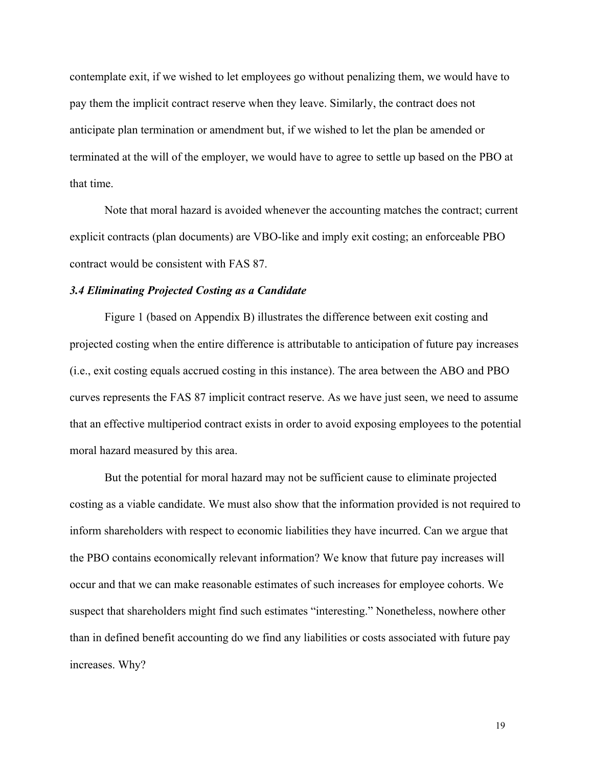contemplate exit, if we wished to let employees go without penalizing them, we would have to pay them the implicit contract reserve when they leave. Similarly, the contract does not anticipate plan termination or amendment but, if we wished to let the plan be amended or terminated at the will of the employer, we would have to agree to settle up based on the PBO at that time.

Note that moral hazard is avoided whenever the accounting matches the contract; current explicit contracts (plan documents) are VBO-like and imply exit costing; an enforceable PBO contract would be consistent with FAS 87.

### *3.4 Eliminating Projected Costing as a Candidate*

Figure 1 (based on Appendix B) illustrates the difference between exit costing and projected costing when the entire difference is attributable to anticipation of future pay increases (i.e., exit costing equals accrued costing in this instance). The area between the ABO and PBO curves represents the FAS 87 implicit contract reserve. As we have just seen, we need to assume that an effective multiperiod contract exists in order to avoid exposing employees to the potential moral hazard measured by this area.

But the potential for moral hazard may not be sufficient cause to eliminate projected costing as a viable candidate. We must also show that the information provided is not required to inform shareholders with respect to economic liabilities they have incurred. Can we argue that the PBO contains economically relevant information? We know that future pay increases will occur and that we can make reasonable estimates of such increases for employee cohorts. We suspect that shareholders might find such estimates "interesting." Nonetheless, nowhere other than in defined benefit accounting do we find any liabilities or costs associated with future pay increases. Why?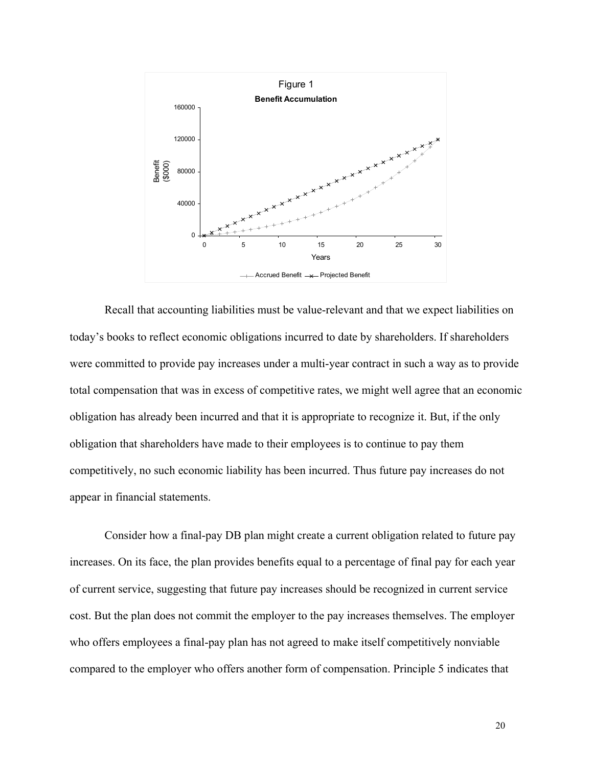

Recall that accounting liabilities must be value-relevant and that we expect liabilities on today's books to reflect economic obligations incurred to date by shareholders. If shareholders were committed to provide pay increases under a multi-year contract in such a way as to provide total compensation that was in excess of competitive rates, we might well agree that an economic obligation has already been incurred and that it is appropriate to recognize it. But, if the only obligation that shareholders have made to their employees is to continue to pay them competitively, no such economic liability has been incurred. Thus future pay increases do not appear in financial statements.

Consider how a final-pay DB plan might create a current obligation related to future pay increases. On its face, the plan provides benefits equal to a percentage of final pay for each year of current service, suggesting that future pay increases should be recognized in current service cost. But the plan does not commit the employer to the pay increases themselves. The employer who offers employees a final-pay plan has not agreed to make itself competitively nonviable compared to the employer who offers another form of compensation. Principle 5 indicates that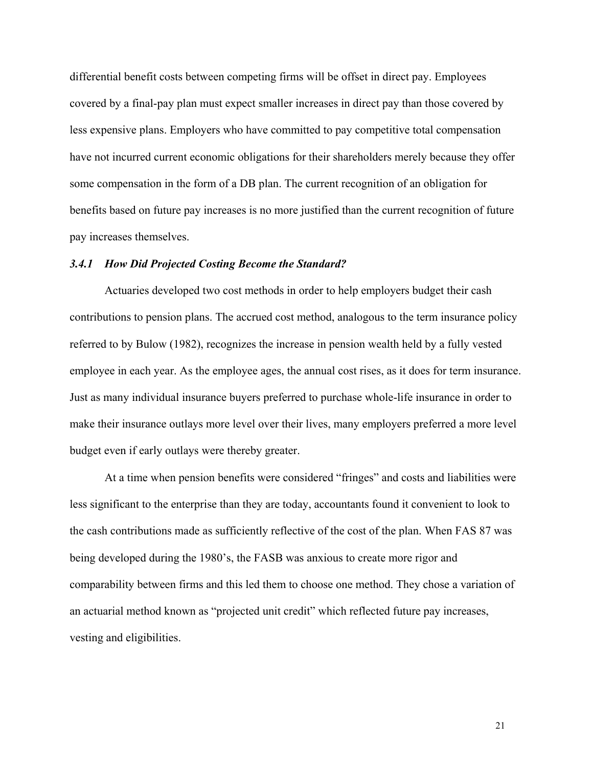differential benefit costs between competing firms will be offset in direct pay. Employees covered by a final-pay plan must expect smaller increases in direct pay than those covered by less expensive plans. Employers who have committed to pay competitive total compensation have not incurred current economic obligations for their shareholders merely because they offer some compensation in the form of a DB plan. The current recognition of an obligation for benefits based on future pay increases is no more justified than the current recognition of future pay increases themselves.

#### *3.4.1 How Did Projected Costing Become the Standard?*

Actuaries developed two cost methods in order to help employers budget their cash contributions to pension plans. The accrued cost method, analogous to the term insurance policy referred to by Bulow (1982), recognizes the increase in pension wealth held by a fully vested employee in each year. As the employee ages, the annual cost rises, as it does for term insurance. Just as many individual insurance buyers preferred to purchase whole-life insurance in order to make their insurance outlays more level over their lives, many employers preferred a more level budget even if early outlays were thereby greater.

At a time when pension benefits were considered "fringes" and costs and liabilities were less significant to the enterprise than they are today, accountants found it convenient to look to the cash contributions made as sufficiently reflective of the cost of the plan. When FAS 87 was being developed during the 1980's, the FASB was anxious to create more rigor and comparability between firms and this led them to choose one method. They chose a variation of an actuarial method known as "projected unit credit" which reflected future pay increases, vesting and eligibilities.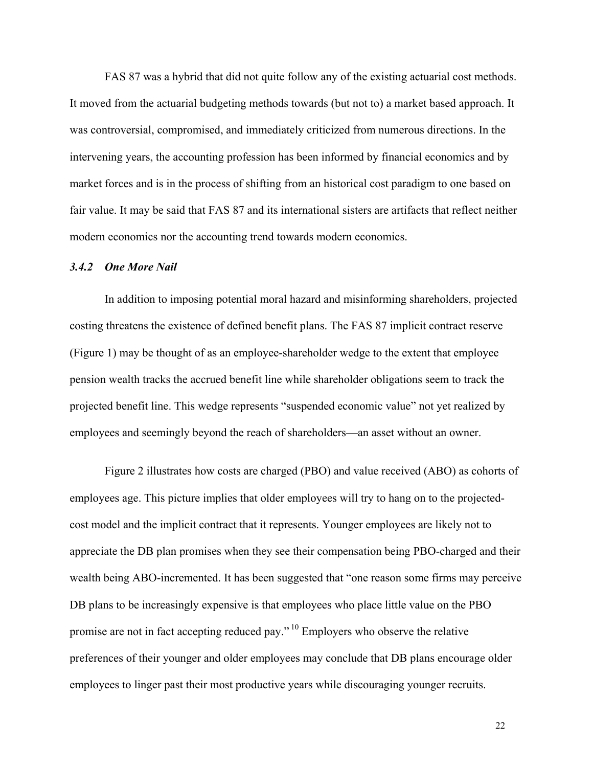FAS 87 was a hybrid that did not quite follow any of the existing actuarial cost methods. It moved from the actuarial budgeting methods towards (but not to) a market based approach. It was controversial, compromised, and immediately criticized from numerous directions. In the intervening years, the accounting profession has been informed by financial economics and by market forces and is in the process of shifting from an historical cost paradigm to one based on fair value. It may be said that FAS 87 and its international sisters are artifacts that reflect neither modern economics nor the accounting trend towards modern economics.

## *3.4.2 One More Nail*

In addition to imposing potential moral hazard and misinforming shareholders, projected costing threatens the existence of defined benefit plans. The FAS 87 implicit contract reserve (Figure 1) may be thought of as an employee-shareholder wedge to the extent that employee pension wealth tracks the accrued benefit line while shareholder obligations seem to track the projected benefit line. This wedge represents "suspended economic value" not yet realized by employees and seemingly beyond the reach of shareholders—an asset without an owner.

Figure 2 illustrates how costs are charged (PBO) and value received (ABO) as cohorts of employees age. This picture implies that older employees will try to hang on to the projectedcost model and the implicit contract that it represents. Younger employees are likely not to appreciate the DB plan promises when they see their compensation being PBO-charged and their wealth being ABO-incremented. It has been suggested that "one reason some firms may perceive DB plans to be increasingly expensive is that employees who place little value on the PBO promise are not in fact accepting reduced pay." 10 Employers who observe the relative preferences of their younger and older employees may conclude that DB plans encourage older employees to linger past their most productive years while discouraging younger recruits.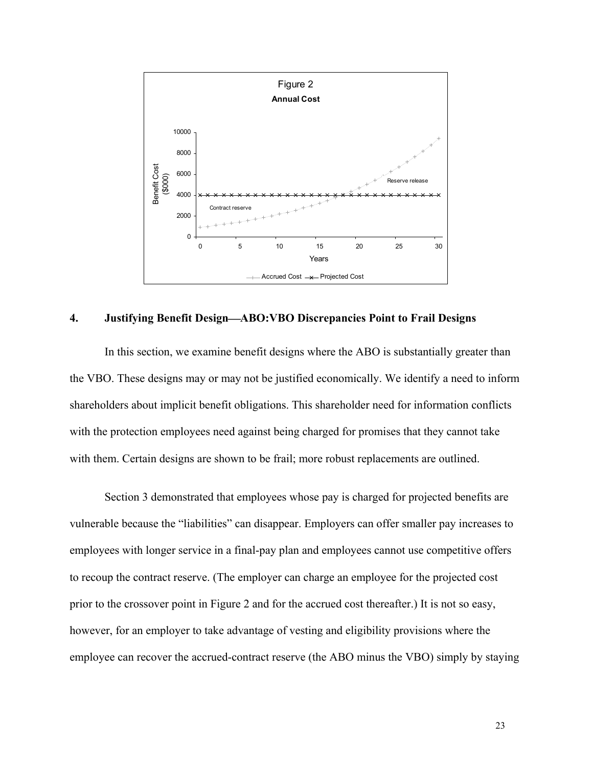

#### **4. Justifying Benefit DesignABO:VBO Discrepancies Point to Frail Designs**

In this section, we examine benefit designs where the ABO is substantially greater than the VBO. These designs may or may not be justified economically. We identify a need to inform shareholders about implicit benefit obligations. This shareholder need for information conflicts with the protection employees need against being charged for promises that they cannot take with them. Certain designs are shown to be frail; more robust replacements are outlined.

Section 3 demonstrated that employees whose pay is charged for projected benefits are vulnerable because the "liabilities" can disappear. Employers can offer smaller pay increases to employees with longer service in a final-pay plan and employees cannot use competitive offers to recoup the contract reserve. (The employer can charge an employee for the projected cost prior to the crossover point in Figure 2 and for the accrued cost thereafter.) It is not so easy, however, for an employer to take advantage of vesting and eligibility provisions where the employee can recover the accrued-contract reserve (the ABO minus the VBO) simply by staying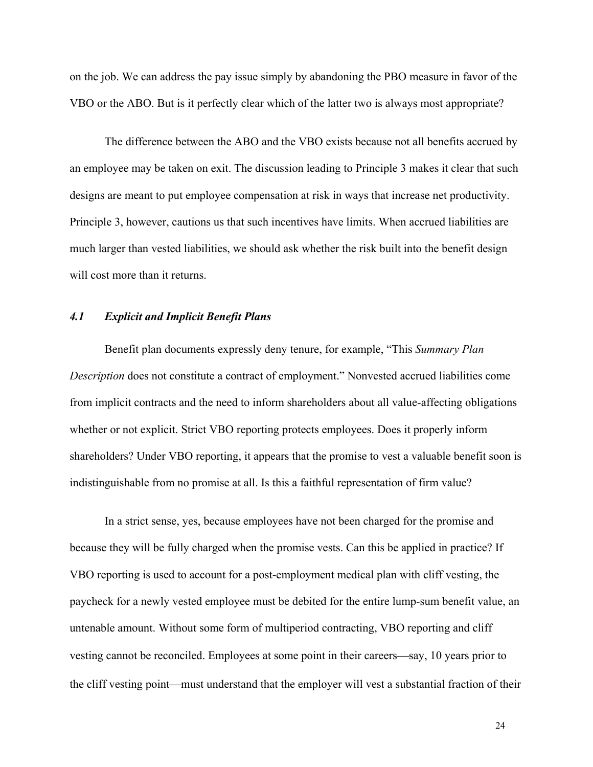on the job. We can address the pay issue simply by abandoning the PBO measure in favor of the VBO or the ABO. But is it perfectly clear which of the latter two is always most appropriate?

The difference between the ABO and the VBO exists because not all benefits accrued by an employee may be taken on exit. The discussion leading to Principle 3 makes it clear that such designs are meant to put employee compensation at risk in ways that increase net productivity. Principle 3, however, cautions us that such incentives have limits. When accrued liabilities are much larger than vested liabilities, we should ask whether the risk built into the benefit design will cost more than it returns.

## *4.1 Explicit and Implicit Benefit Plans*

Benefit plan documents expressly deny tenure, for example, "This *Summary Plan Description* does not constitute a contract of employment." Nonvested accrued liabilities come from implicit contracts and the need to inform shareholders about all value-affecting obligations whether or not explicit. Strict VBO reporting protects employees. Does it properly inform shareholders? Under VBO reporting, it appears that the promise to vest a valuable benefit soon is indistinguishable from no promise at all. Is this a faithful representation of firm value?

In a strict sense, yes, because employees have not been charged for the promise and because they will be fully charged when the promise vests. Can this be applied in practice? If VBO reporting is used to account for a post-employment medical plan with cliff vesting, the paycheck for a newly vested employee must be debited for the entire lump-sum benefit value, an untenable amount. Without some form of multiperiod contracting, VBO reporting and cliff vesting cannot be reconciled. Employees at some point in their careers—say, 10 years prior to the cliff vesting point—must understand that the employer will vest a substantial fraction of their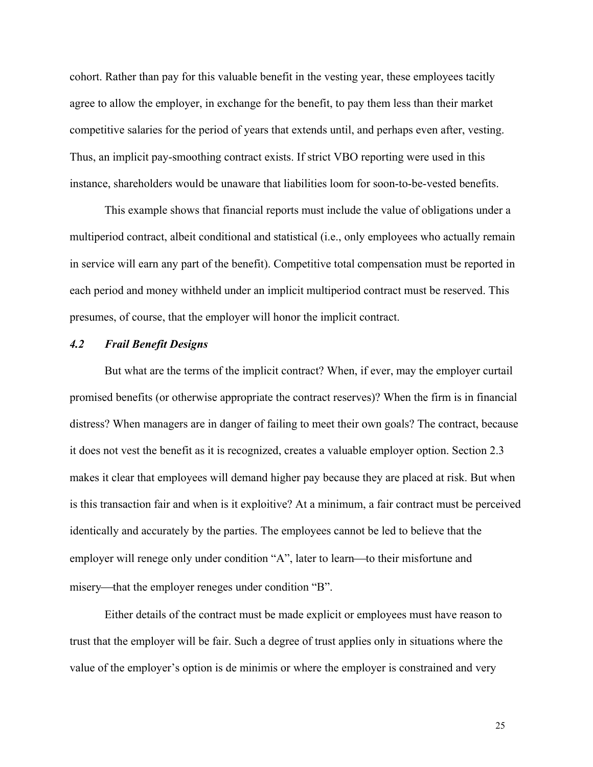cohort. Rather than pay for this valuable benefit in the vesting year, these employees tacitly agree to allow the employer, in exchange for the benefit, to pay them less than their market competitive salaries for the period of years that extends until, and perhaps even after, vesting. Thus, an implicit pay-smoothing contract exists. If strict VBO reporting were used in this instance, shareholders would be unaware that liabilities loom for soon-to-be-vested benefits.

This example shows that financial reports must include the value of obligations under a multiperiod contract, albeit conditional and statistical (i.e., only employees who actually remain in service will earn any part of the benefit). Competitive total compensation must be reported in each period and money withheld under an implicit multiperiod contract must be reserved. This presumes, of course, that the employer will honor the implicit contract.

#### *4.2 Frail Benefit Designs*

But what are the terms of the implicit contract? When, if ever, may the employer curtail promised benefits (or otherwise appropriate the contract reserves)? When the firm is in financial distress? When managers are in danger of failing to meet their own goals? The contract, because it does not vest the benefit as it is recognized, creates a valuable employer option. Section 2.3 makes it clear that employees will demand higher pay because they are placed at risk. But when is this transaction fair and when is it exploitive? At a minimum, a fair contract must be perceived identically and accurately by the parties. The employees cannot be led to believe that the employer will renege only under condition "A", later to learn—to their misfortune and misery—that the employer reneges under condition "B".

Either details of the contract must be made explicit or employees must have reason to trust that the employer will be fair. Such a degree of trust applies only in situations where the value of the employer's option is de minimis or where the employer is constrained and very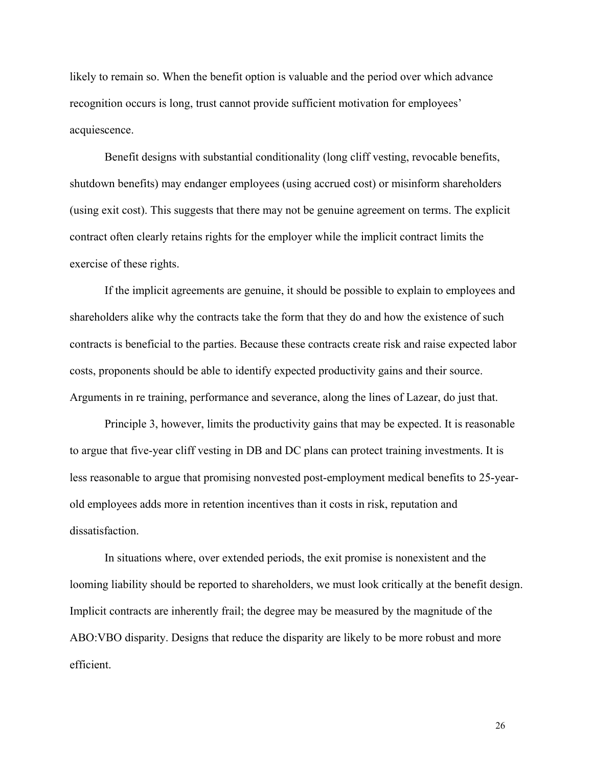likely to remain so. When the benefit option is valuable and the period over which advance recognition occurs is long, trust cannot provide sufficient motivation for employees' acquiescence.

Benefit designs with substantial conditionality (long cliff vesting, revocable benefits, shutdown benefits) may endanger employees (using accrued cost) or misinform shareholders (using exit cost). This suggests that there may not be genuine agreement on terms. The explicit contract often clearly retains rights for the employer while the implicit contract limits the exercise of these rights.

If the implicit agreements are genuine, it should be possible to explain to employees and shareholders alike why the contracts take the form that they do and how the existence of such contracts is beneficial to the parties. Because these contracts create risk and raise expected labor costs, proponents should be able to identify expected productivity gains and their source. Arguments in re training, performance and severance, along the lines of Lazear, do just that.

Principle 3, however, limits the productivity gains that may be expected. It is reasonable to argue that five-year cliff vesting in DB and DC plans can protect training investments. It is less reasonable to argue that promising nonvested post-employment medical benefits to 25-yearold employees adds more in retention incentives than it costs in risk, reputation and dissatisfaction.

In situations where, over extended periods, the exit promise is nonexistent and the looming liability should be reported to shareholders, we must look critically at the benefit design. Implicit contracts are inherently frail; the degree may be measured by the magnitude of the ABO:VBO disparity. Designs that reduce the disparity are likely to be more robust and more efficient.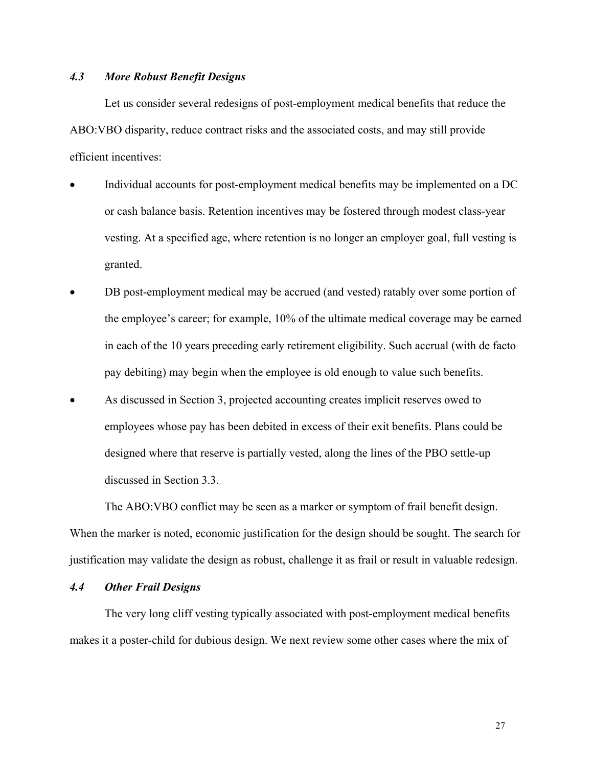## *4.3 More Robust Benefit Designs*

Let us consider several redesigns of post-employment medical benefits that reduce the ABO:VBO disparity, reduce contract risks and the associated costs, and may still provide efficient incentives:

- Individual accounts for post-employment medical benefits may be implemented on a DC or cash balance basis. Retention incentives may be fostered through modest class-year vesting. At a specified age, where retention is no longer an employer goal, full vesting is granted.
- DB post-employment medical may be accrued (and vested) ratably over some portion of the employee's career; for example, 10% of the ultimate medical coverage may be earned in each of the 10 years preceding early retirement eligibility. Such accrual (with de facto pay debiting) may begin when the employee is old enough to value such benefits.
- As discussed in Section 3, projected accounting creates implicit reserves owed to employees whose pay has been debited in excess of their exit benefits. Plans could be designed where that reserve is partially vested, along the lines of the PBO settle-up discussed in Section 3.3.

The ABO:VBO conflict may be seen as a marker or symptom of frail benefit design. When the marker is noted, economic justification for the design should be sought. The search for justification may validate the design as robust, challenge it as frail or result in valuable redesign.

## *4.4 Other Frail Designs*

The very long cliff vesting typically associated with post-employment medical benefits makes it a poster-child for dubious design. We next review some other cases where the mix of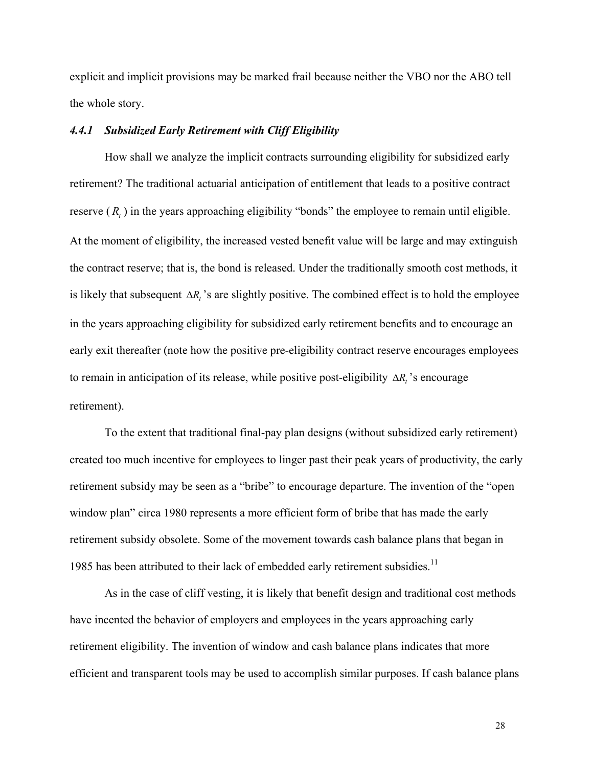explicit and implicit provisions may be marked frail because neither the VBO nor the ABO tell the whole story.

## *4.4.1 Subsidized Early Retirement with Cliff Eligibility*

How shall we analyze the implicit contracts surrounding eligibility for subsidized early retirement? The traditional actuarial anticipation of entitlement that leads to a positive contract reserve  $(R_t)$  in the years approaching eligibility "bonds" the employee to remain until eligible. At the moment of eligibility, the increased vested benefit value will be large and may extinguish the contract reserve; that is, the bond is released. Under the traditionally smooth cost methods, it is likely that subsequent ∆*Rt* 's are slightly positive. The combined effect is to hold the employee in the years approaching eligibility for subsidized early retirement benefits and to encourage an early exit thereafter (note how the positive pre-eligibility contract reserve encourages employees to remain in anticipation of its release, while positive post-eligibility Δ*R<sub>t</sub>*'s encourage retirement).

To the extent that traditional final-pay plan designs (without subsidized early retirement) created too much incentive for employees to linger past their peak years of productivity, the early retirement subsidy may be seen as a "bribe" to encourage departure. The invention of the "open window plan" circa 1980 represents a more efficient form of bribe that has made the early retirement subsidy obsolete. Some of the movement towards cash balance plans that began in 1985 has been attributed to their lack of embedded early retirement subsidies.<sup>11</sup>

As in the case of cliff vesting, it is likely that benefit design and traditional cost methods have incented the behavior of employers and employees in the years approaching early retirement eligibility. The invention of window and cash balance plans indicates that more efficient and transparent tools may be used to accomplish similar purposes. If cash balance plans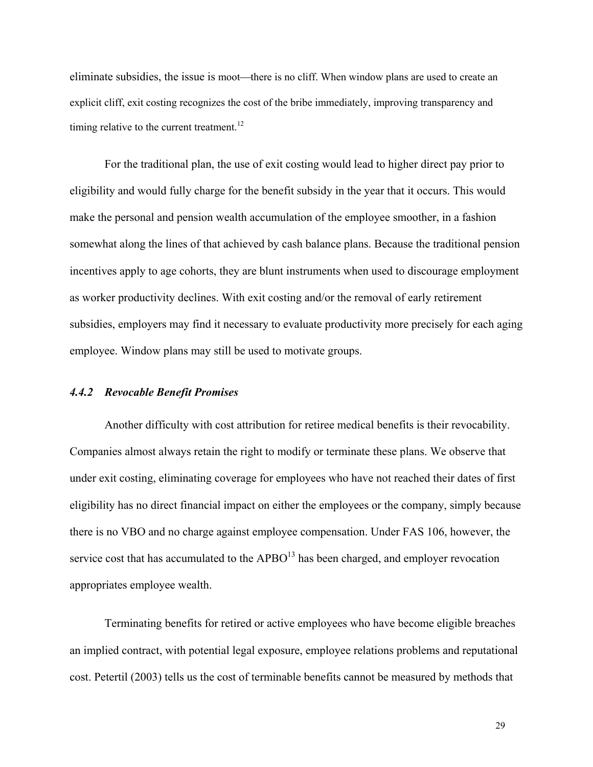eliminate subsidies, the issue is moot—there is no cliff. When window plans are used to create an explicit cliff, exit costing recognizes the cost of the bribe immediately, improving transparency and timing relative to the current treatment.<sup>12</sup>

For the traditional plan, the use of exit costing would lead to higher direct pay prior to eligibility and would fully charge for the benefit subsidy in the year that it occurs. This would make the personal and pension wealth accumulation of the employee smoother, in a fashion somewhat along the lines of that achieved by cash balance plans. Because the traditional pension incentives apply to age cohorts, they are blunt instruments when used to discourage employment as worker productivity declines. With exit costing and/or the removal of early retirement subsidies, employers may find it necessary to evaluate productivity more precisely for each aging employee. Window plans may still be used to motivate groups.

#### *4.4.2 Revocable Benefit Promises*

Another difficulty with cost attribution for retiree medical benefits is their revocability. Companies almost always retain the right to modify or terminate these plans. We observe that under exit costing, eliminating coverage for employees who have not reached their dates of first eligibility has no direct financial impact on either the employees or the company, simply because there is no VBO and no charge against employee compensation. Under FAS 106, however, the service cost that has accumulated to the  $APBO<sup>13</sup>$  has been charged, and employer revocation appropriates employee wealth.

Terminating benefits for retired or active employees who have become eligible breaches an implied contract, with potential legal exposure, employee relations problems and reputational cost. Petertil (2003) tells us the cost of terminable benefits cannot be measured by methods that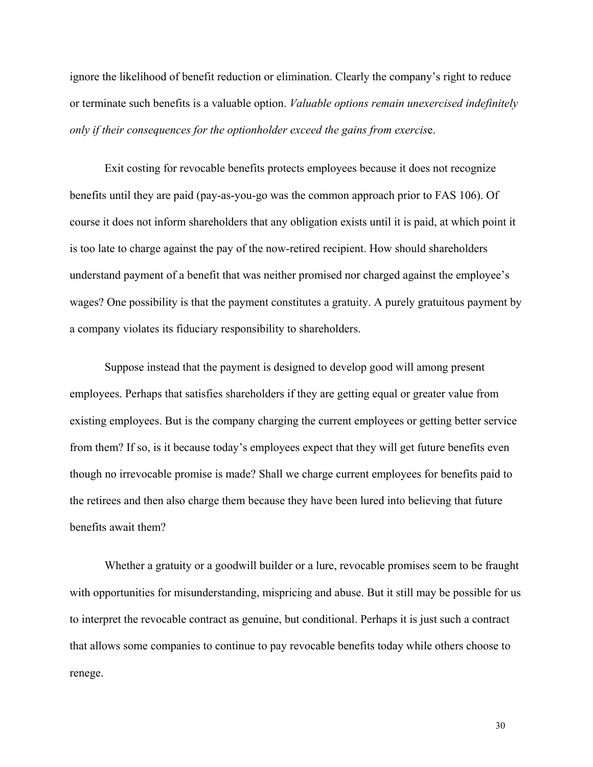ignore the likelihood of benefit reduction or elimination. Clearly the company's right to reduce or terminate such benefits is a valuable option. *Valuable options remain unexercised indefinitely only if their consequences for the optionholder exceed the gains from exercis*e.

Exit costing for revocable benefits protects employees because it does not recognize benefits until they are paid (pay-as-you-go was the common approach prior to FAS 106). Of course it does not inform shareholders that any obligation exists until it is paid, at which point it is too late to charge against the pay of the now-retired recipient. How should shareholders understand payment of a benefit that was neither promised nor charged against the employee's wages? One possibility is that the payment constitutes a gratuity. A purely gratuitous payment by a company violates its fiduciary responsibility to shareholders.

Suppose instead that the payment is designed to develop good will among present employees. Perhaps that satisfies shareholders if they are getting equal or greater value from existing employees. But is the company charging the current employees or getting better service from them? If so, is it because today's employees expect that they will get future benefits even though no irrevocable promise is made? Shall we charge current employees for benefits paid to the retirees and then also charge them because they have been lured into believing that future benefits await them?

Whether a gratuity or a goodwill builder or a lure, revocable promises seem to be fraught with opportunities for misunderstanding, mispricing and abuse. But it still may be possible for us to interpret the revocable contract as genuine, but conditional. Perhaps it is just such a contract that allows some companies to continue to pay revocable benefits today while others choose to renege.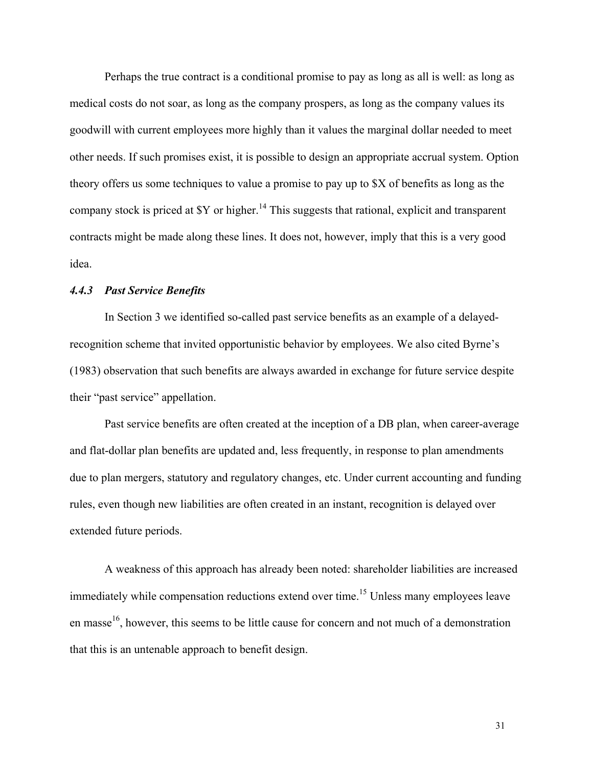Perhaps the true contract is a conditional promise to pay as long as all is well: as long as medical costs do not soar, as long as the company prospers, as long as the company values its goodwill with current employees more highly than it values the marginal dollar needed to meet other needs. If such promises exist, it is possible to design an appropriate accrual system. Option theory offers us some techniques to value a promise to pay up to \$X of benefits as long as the company stock is priced at  $Y$  or higher.<sup>14</sup> This suggests that rational, explicit and transparent contracts might be made along these lines. It does not, however, imply that this is a very good idea.

### *4.4.3 Past Service Benefits*

In Section 3 we identified so-called past service benefits as an example of a delayedrecognition scheme that invited opportunistic behavior by employees. We also cited Byrne's (1983) observation that such benefits are always awarded in exchange for future service despite their "past service" appellation.

Past service benefits are often created at the inception of a DB plan, when career-average and flat-dollar plan benefits are updated and, less frequently, in response to plan amendments due to plan mergers, statutory and regulatory changes, etc. Under current accounting and funding rules, even though new liabilities are often created in an instant, recognition is delayed over extended future periods.

A weakness of this approach has already been noted: shareholder liabilities are increased immediately while compensation reductions extend over time.<sup>15</sup> Unless many employees leave en masse $16$ , however, this seems to be little cause for concern and not much of a demonstration that this is an untenable approach to benefit design.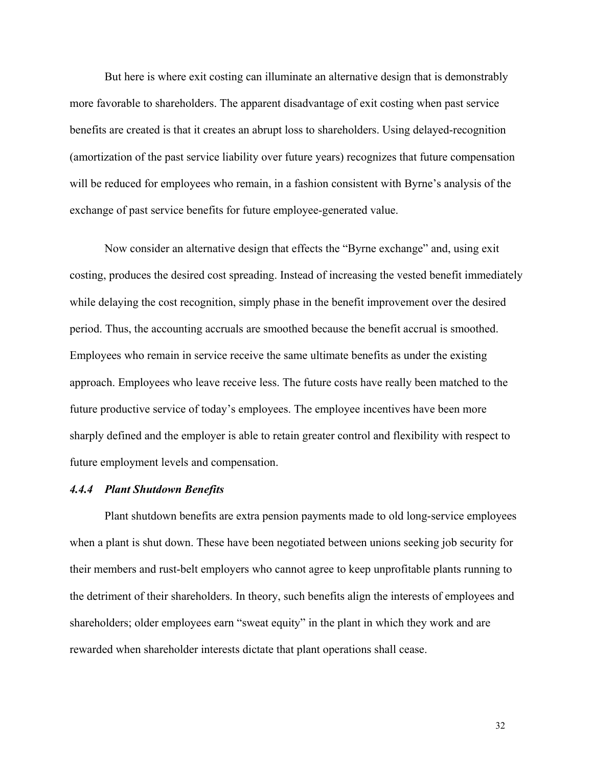But here is where exit costing can illuminate an alternative design that is demonstrably more favorable to shareholders. The apparent disadvantage of exit costing when past service benefits are created is that it creates an abrupt loss to shareholders. Using delayed-recognition (amortization of the past service liability over future years) recognizes that future compensation will be reduced for employees who remain, in a fashion consistent with Byrne's analysis of the exchange of past service benefits for future employee-generated value.

Now consider an alternative design that effects the "Byrne exchange" and, using exit costing, produces the desired cost spreading. Instead of increasing the vested benefit immediately while delaying the cost recognition, simply phase in the benefit improvement over the desired period. Thus, the accounting accruals are smoothed because the benefit accrual is smoothed. Employees who remain in service receive the same ultimate benefits as under the existing approach. Employees who leave receive less. The future costs have really been matched to the future productive service of today's employees. The employee incentives have been more sharply defined and the employer is able to retain greater control and flexibility with respect to future employment levels and compensation.

#### *4.4.4 Plant Shutdown Benefits*

Plant shutdown benefits are extra pension payments made to old long-service employees when a plant is shut down. These have been negotiated between unions seeking job security for their members and rust-belt employers who cannot agree to keep unprofitable plants running to the detriment of their shareholders. In theory, such benefits align the interests of employees and shareholders; older employees earn "sweat equity" in the plant in which they work and are rewarded when shareholder interests dictate that plant operations shall cease.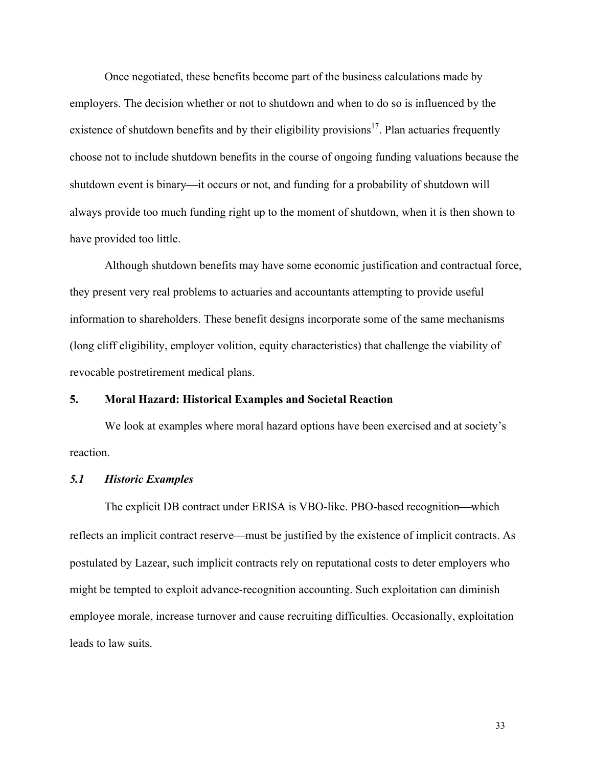Once negotiated, these benefits become part of the business calculations made by employers. The decision whether or not to shutdown and when to do so is influenced by the existence of shutdown benefits and by their eligibility provisions<sup>17</sup>. Plan actuaries frequently choose not to include shutdown benefits in the course of ongoing funding valuations because the shutdown event is binary—it occurs or not, and funding for a probability of shutdown will always provide too much funding right up to the moment of shutdown, when it is then shown to have provided too little.

Although shutdown benefits may have some economic justification and contractual force, they present very real problems to actuaries and accountants attempting to provide useful information to shareholders. These benefit designs incorporate some of the same mechanisms (long cliff eligibility, employer volition, equity characteristics) that challenge the viability of revocable postretirement medical plans.

## **5. Moral Hazard: Historical Examples and Societal Reaction**

We look at examples where moral hazard options have been exercised and at society's reaction.

## *5.1 Historic Examples*

The explicit DB contract under ERISA is VBO-like. PBO-based recognition—which reflects an implicit contract reserve—must be justified by the existence of implicit contracts. As postulated by Lazear, such implicit contracts rely on reputational costs to deter employers who might be tempted to exploit advance-recognition accounting. Such exploitation can diminish employee morale, increase turnover and cause recruiting difficulties. Occasionally, exploitation leads to law suits.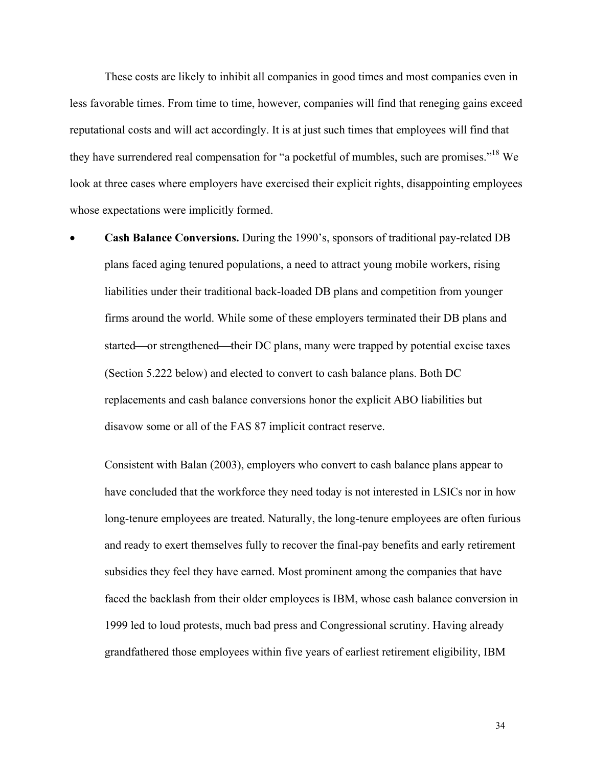These costs are likely to inhibit all companies in good times and most companies even in less favorable times. From time to time, however, companies will find that reneging gains exceed reputational costs and will act accordingly. It is at just such times that employees will find that they have surrendered real compensation for "a pocketful of mumbles, such are promises."<sup>18</sup> We look at three cases where employers have exercised their explicit rights, disappointing employees whose expectations were implicitly formed.

• **Cash Balance Conversions.** During the 1990's, sponsors of traditional pay-related DB plans faced aging tenured populations, a need to attract young mobile workers, rising liabilities under their traditional back-loaded DB plans and competition from younger firms around the world. While some of these employers terminated their DB plans and started—or strengthened—their DC plans, many were trapped by potential excise taxes (Section 5.222 below) and elected to convert to cash balance plans. Both DC replacements and cash balance conversions honor the explicit ABO liabilities but disavow some or all of the FAS 87 implicit contract reserve.

Consistent with Balan (2003), employers who convert to cash balance plans appear to have concluded that the workforce they need today is not interested in LSICs nor in how long-tenure employees are treated. Naturally, the long-tenure employees are often furious and ready to exert themselves fully to recover the final-pay benefits and early retirement subsidies they feel they have earned. Most prominent among the companies that have faced the backlash from their older employees is IBM, whose cash balance conversion in 1999 led to loud protests, much bad press and Congressional scrutiny. Having already grandfathered those employees within five years of earliest retirement eligibility, IBM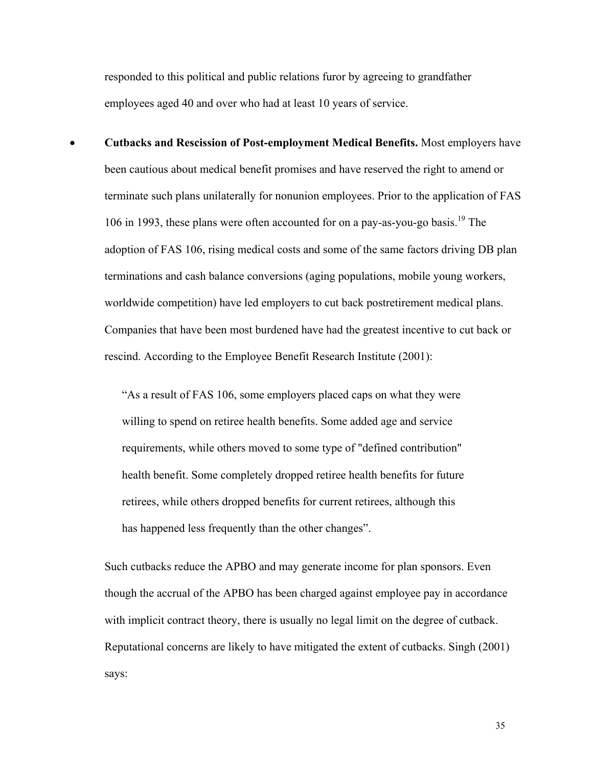responded to this political and public relations furor by agreeing to grandfather employees aged 40 and over who had at least 10 years of service.

• **Cutbacks and Rescission of Post-employment Medical Benefits.** Most employers have been cautious about medical benefit promises and have reserved the right to amend or terminate such plans unilaterally for nonunion employees. Prior to the application of FAS 106 in 1993, these plans were often accounted for on a pay-as-you-go basis.<sup>19</sup> The adoption of FAS 106, rising medical costs and some of the same factors driving DB plan terminations and cash balance conversions (aging populations, mobile young workers, worldwide competition) have led employers to cut back postretirement medical plans. Companies that have been most burdened have had the greatest incentive to cut back or rescind. According to the Employee Benefit Research Institute (2001):

> "As a result of FAS 106, some employers placed caps on what they were willing to spend on retiree health benefits. Some added age and service requirements, while others moved to some type of "defined contribution" health benefit. Some completely dropped retiree health benefits for future retirees, while others dropped benefits for current retirees, although this has happened less frequently than the other changes".

Such cutbacks reduce the APBO and may generate income for plan sponsors. Even though the accrual of the APBO has been charged against employee pay in accordance with implicit contract theory, there is usually no legal limit on the degree of cutback. Reputational concerns are likely to have mitigated the extent of cutbacks. Singh (2001) says: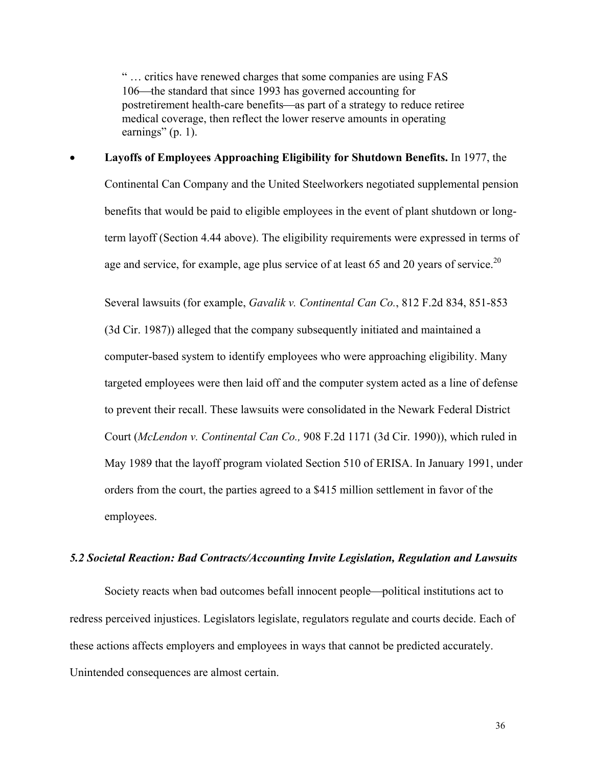" … critics have renewed charges that some companies are using FAS 106—the standard that since 1993 has governed accounting for postretirement health-care benefits—as part of a strategy to reduce retiree medical coverage, then reflect the lower reserve amounts in operating earnings" (p. 1).

## • **Layoffs of Employees Approaching Eligibility for Shutdown Benefits.** In 1977, the

Continental Can Company and the United Steelworkers negotiated supplemental pension benefits that would be paid to eligible employees in the event of plant shutdown or longterm layoff (Section 4.44 above). The eligibility requirements were expressed in terms of age and service, for example, age plus service of at least 65 and 20 years of service.<sup>20</sup>

Several lawsuits (for example, *Gavalik v. Continental Can Co.*, 812 F.2d 834, 851-853 (3d Cir. 1987)) alleged that the company subsequently initiated and maintained a computer-based system to identify employees who were approaching eligibility. Many targeted employees were then laid off and the computer system acted as a line of defense to prevent their recall. These lawsuits were consolidated in the Newark Federal District Court (*McLendon v. Continental Can Co.,* 908 F.2d 1171 (3d Cir. 1990)), which ruled in May 1989 that the layoff program violated Section 510 of ERISA. In January 1991, under orders from the court, the parties agreed to a \$415 million settlement in favor of the employees.

## *5.2 Societal Reaction: Bad Contracts/Accounting Invite Legislation, Regulation and Lawsuits*

Society reacts when bad outcomes befall innocent people—political institutions act to redress perceived injustices. Legislators legislate, regulators regulate and courts decide. Each of these actions affects employers and employees in ways that cannot be predicted accurately. Unintended consequences are almost certain.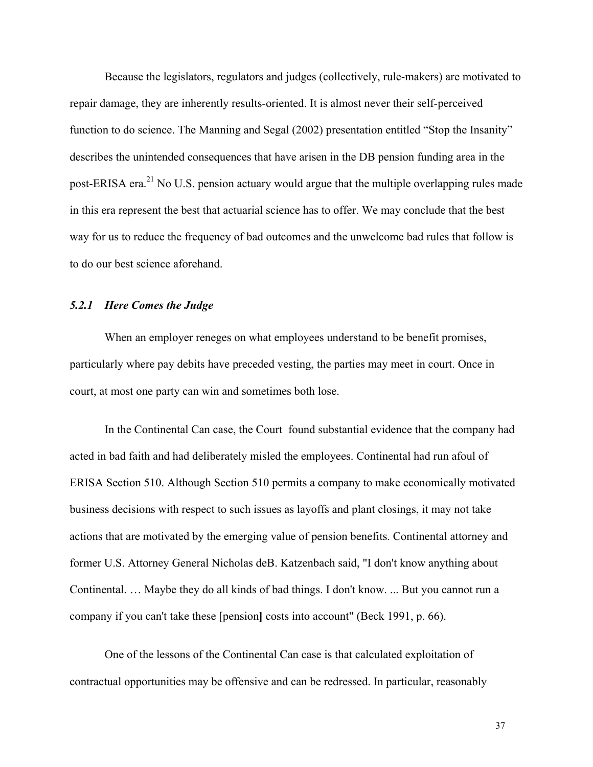Because the legislators, regulators and judges (collectively, rule-makers) are motivated to repair damage, they are inherently results-oriented. It is almost never their self-perceived function to do science. The Manning and Segal (2002) presentation entitled "Stop the Insanity" describes the unintended consequences that have arisen in the DB pension funding area in the post-ERISA era.<sup>21</sup> No U.S. pension actuary would argue that the multiple overlapping rules made in this era represent the best that actuarial science has to offer. We may conclude that the best way for us to reduce the frequency of bad outcomes and the unwelcome bad rules that follow is to do our best science aforehand.

#### *5.2.1 Here Comes the Judge*

When an employer reneges on what employees understand to be benefit promises, particularly where pay debits have preceded vesting, the parties may meet in court. Once in court, at most one party can win and sometimes both lose.

In the Continental Can case, the Court found substantial evidence that the company had acted in bad faith and had deliberately misled the employees. Continental had run afoul of ERISA Section 510. Although Section 510 permits a company to make economically motivated business decisions with respect to such issues as layoffs and plant closings, it may not take actions that are motivated by the emerging value of pension benefits. Continental attorney and former U.S. Attorney General Nicholas deB. Katzenbach said, "I don't know anything about Continental. … Maybe they do all kinds of bad things. I don't know. ... But you cannot run a company if you can't take these [pension**]** costs into account" (Beck 1991, p. 66).

One of the lessons of the Continental Can case is that calculated exploitation of contractual opportunities may be offensive and can be redressed. In particular, reasonably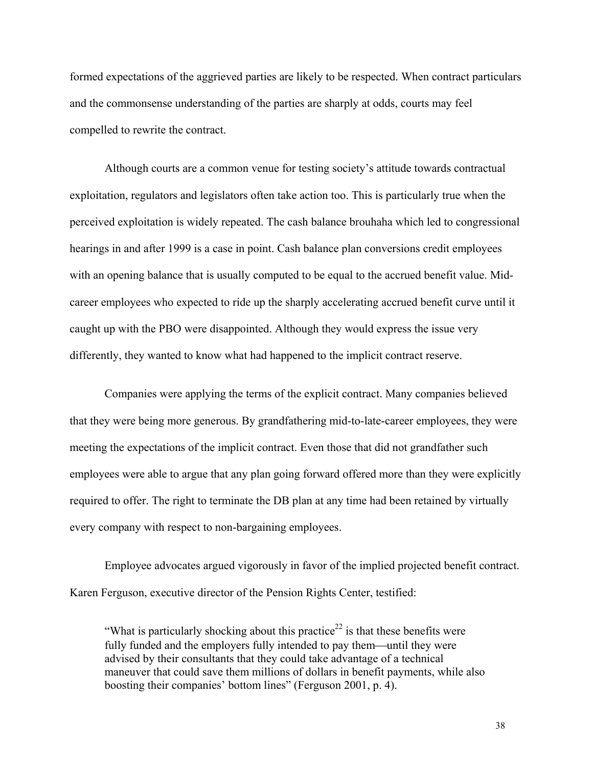formed expectations of the aggrieved parties are likely to be respected. When contract particulars and the commonsense understanding of the parties are sharply at odds, courts may feel compelled to rewrite the contract.

Although courts are a common venue for testing society's attitude towards contractual exploitation, regulators and legislators often take action too. This is particularly true when the perceived exploitation is widely repeated. The cash balance brouhaha which led to congressional hearings in and after 1999 is a case in point. Cash balance plan conversions credit employees with an opening balance that is usually computed to be equal to the accrued benefit value. Midcareer employees who expected to ride up the sharply accelerating accrued benefit curve until it caught up with the PBO were disappointed. Although they would express the issue very differently, they wanted to know what had happened to the implicit contract reserve.

Companies were applying the terms of the explicit contract. Many companies believed that they were being more generous. By grandfathering mid-to-late-career employees, they were meeting the expectations of the implicit contract. Even those that did not grandfather such employees were able to argue that any plan going forward offered more than they were explicitly required to offer. The right to terminate the DB plan at any time had been retained by virtually every company with respect to non-bargaining employees.

Employee advocates argued vigorously in favor of the implied projected benefit contract. Karen Ferguson, executive director of the Pension Rights Center, testified:

"What is particularly shocking about this practice<sup>22</sup> is that these benefits were fully funded and the employers fully intended to pay them—until they were advised by their consultants that they could take advantage of a technical maneuver that could save them millions of dollars in benefit payments, while also boosting their companies' bottom lines" (Ferguson 2001, p. 4).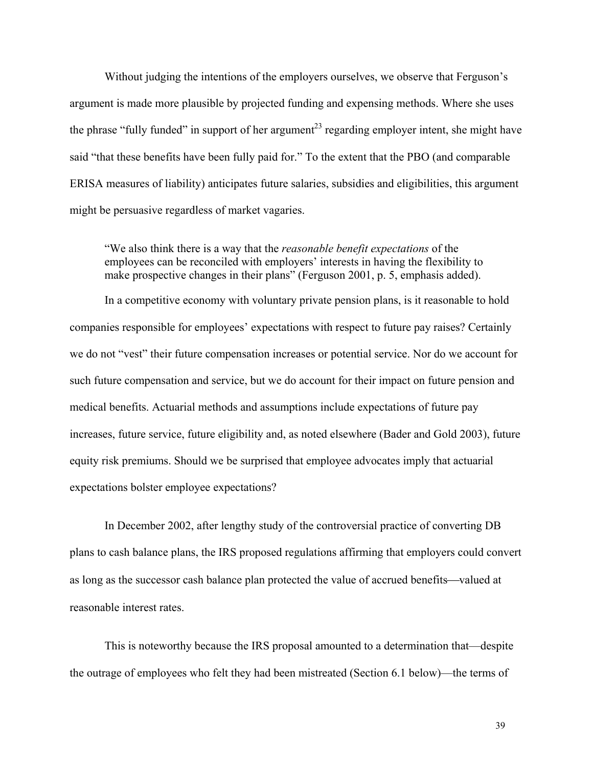Without judging the intentions of the employers ourselves, we observe that Ferguson's argument is made more plausible by projected funding and expensing methods. Where she uses the phrase "fully funded" in support of her argument<sup>23</sup> regarding employer intent, she might have said "that these benefits have been fully paid for." To the extent that the PBO (and comparable ERISA measures of liability) anticipates future salaries, subsidies and eligibilities, this argument might be persuasive regardless of market vagaries.

"We also think there is a way that the *reasonable benefit expectations* of the employees can be reconciled with employers' interests in having the flexibility to make prospective changes in their plans" (Ferguson 2001, p. 5, emphasis added).

In a competitive economy with voluntary private pension plans, is it reasonable to hold companies responsible for employees' expectations with respect to future pay raises? Certainly we do not "vest" their future compensation increases or potential service. Nor do we account for such future compensation and service, but we do account for their impact on future pension and medical benefits. Actuarial methods and assumptions include expectations of future pay increases, future service, future eligibility and, as noted elsewhere (Bader and Gold 2003), future equity risk premiums. Should we be surprised that employee advocates imply that actuarial expectations bolster employee expectations?

In December 2002, after lengthy study of the controversial practice of converting DB plans to cash balance plans, the IRS proposed regulations affirming that employers could convert as long as the successor cash balance plan protected the value of accrued benefits—valued at reasonable interest rates.

This is noteworthy because the IRS proposal amounted to a determination that—despite the outrage of employees who felt they had been mistreated (Section 6.1 below)—the terms of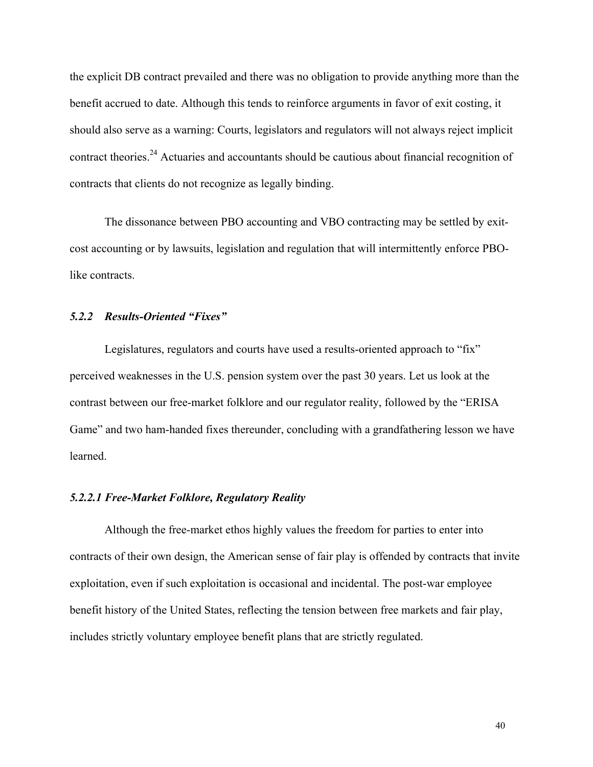the explicit DB contract prevailed and there was no obligation to provide anything more than the benefit accrued to date. Although this tends to reinforce arguments in favor of exit costing, it should also serve as a warning: Courts, legislators and regulators will not always reject implicit contract theories.24 Actuaries and accountants should be cautious about financial recognition of contracts that clients do not recognize as legally binding.

The dissonance between PBO accounting and VBO contracting may be settled by exitcost accounting or by lawsuits, legislation and regulation that will intermittently enforce PBOlike contracts.

## *5.2.2 Results-Oriented "Fixes"*

Legislatures, regulators and courts have used a results-oriented approach to "fix" perceived weaknesses in the U.S. pension system over the past 30 years. Let us look at the contrast between our free-market folklore and our regulator reality, followed by the "ERISA Game" and two ham-handed fixes thereunder, concluding with a grandfathering lesson we have learned.

#### *5.2.2.1 Free-Market Folklore, Regulatory Reality*

Although the free-market ethos highly values the freedom for parties to enter into contracts of their own design, the American sense of fair play is offended by contracts that invite exploitation, even if such exploitation is occasional and incidental. The post-war employee benefit history of the United States, reflecting the tension between free markets and fair play, includes strictly voluntary employee benefit plans that are strictly regulated.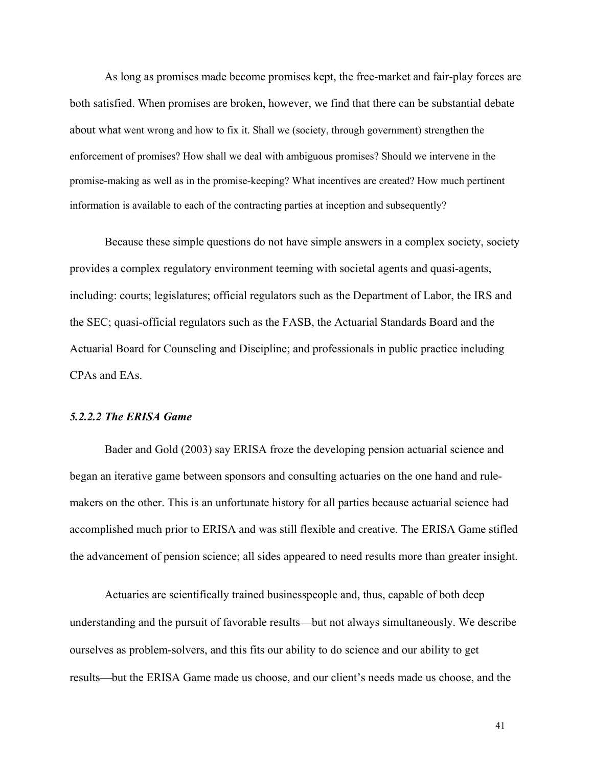As long as promises made become promises kept, the free-market and fair-play forces are both satisfied. When promises are broken, however, we find that there can be substantial debate about what went wrong and how to fix it. Shall we (society, through government) strengthen the enforcement of promises? How shall we deal with ambiguous promises? Should we intervene in the promise-making as well as in the promise-keeping? What incentives are created? How much pertinent information is available to each of the contracting parties at inception and subsequently?

Because these simple questions do not have simple answers in a complex society, society provides a complex regulatory environment teeming with societal agents and quasi-agents, including: courts; legislatures; official regulators such as the Department of Labor, the IRS and the SEC; quasi-official regulators such as the FASB, the Actuarial Standards Board and the Actuarial Board for Counseling and Discipline; and professionals in public practice including CPAs and EAs.

## *5.2.2.2 The ERISA Game*

Bader and Gold (2003) say ERISA froze the developing pension actuarial science and began an iterative game between sponsors and consulting actuaries on the one hand and rulemakers on the other. This is an unfortunate history for all parties because actuarial science had accomplished much prior to ERISA and was still flexible and creative. The ERISA Game stifled the advancement of pension science; all sides appeared to need results more than greater insight.

Actuaries are scientifically trained businesspeople and, thus, capable of both deep understanding and the pursuit of favorable results—but not always simultaneously. We describe ourselves as problem-solvers, and this fits our ability to do science and our ability to get results—but the ERISA Game made us choose, and our client's needs made us choose, and the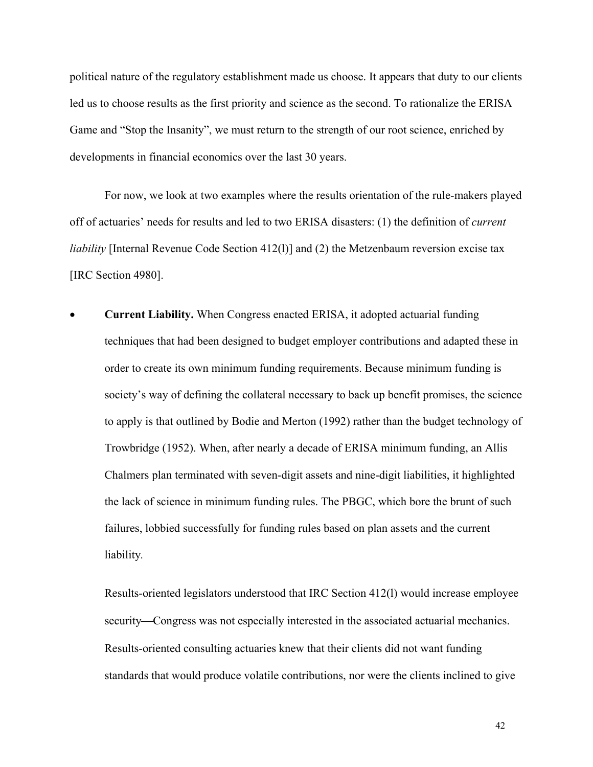political nature of the regulatory establishment made us choose. It appears that duty to our clients led us to choose results as the first priority and science as the second. To rationalize the ERISA Game and "Stop the Insanity", we must return to the strength of our root science, enriched by developments in financial economics over the last 30 years.

For now, we look at two examples where the results orientation of the rule-makers played off of actuaries' needs for results and led to two ERISA disasters: (1) the definition of *current liability* [Internal Revenue Code Section 412(1)] and (2) the Metzenbaum reversion excise tax [IRC Section 4980].

• **Current Liability.** When Congress enacted ERISA, it adopted actuarial funding techniques that had been designed to budget employer contributions and adapted these in order to create its own minimum funding requirements. Because minimum funding is society's way of defining the collateral necessary to back up benefit promises, the science to apply is that outlined by Bodie and Merton (1992) rather than the budget technology of Trowbridge (1952). When, after nearly a decade of ERISA minimum funding, an Allis Chalmers plan terminated with seven-digit assets and nine-digit liabilities, it highlighted the lack of science in minimum funding rules. The PBGC, which bore the brunt of such failures, lobbied successfully for funding rules based on plan assets and the current liability*.*

Results-oriented legislators understood that IRC Section 412(l) would increase employee security—Congress was not especially interested in the associated actuarial mechanics. Results-oriented consulting actuaries knew that their clients did not want funding standards that would produce volatile contributions, nor were the clients inclined to give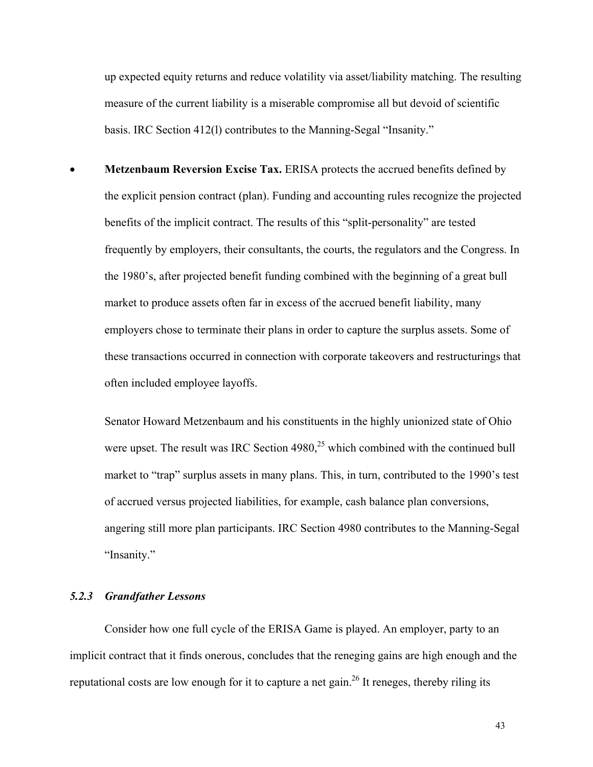up expected equity returns and reduce volatility via asset/liability matching. The resulting measure of the current liability is a miserable compromise all but devoid of scientific basis. IRC Section 412(l) contributes to the Manning-Segal "Insanity."

• **Metzenbaum Reversion Excise Tax.** ERISA protects the accrued benefits defined by the explicit pension contract (plan). Funding and accounting rules recognize the projected benefits of the implicit contract. The results of this "split-personality" are tested frequently by employers, their consultants, the courts, the regulators and the Congress. In the 1980's, after projected benefit funding combined with the beginning of a great bull market to produce assets often far in excess of the accrued benefit liability, many employers chose to terminate their plans in order to capture the surplus assets. Some of these transactions occurred in connection with corporate takeovers and restructurings that often included employee layoffs.

Senator Howard Metzenbaum and his constituents in the highly unionized state of Ohio were upset. The result was IRC Section  $4980$ <sup>25</sup> which combined with the continued bull market to "trap" surplus assets in many plans. This, in turn, contributed to the 1990's test of accrued versus projected liabilities, for example, cash balance plan conversions, angering still more plan participants. IRC Section 4980 contributes to the Manning-Segal "Insanity."

### *5.2.3 Grandfather Lessons*

Consider how one full cycle of the ERISA Game is played. An employer, party to an implicit contract that it finds onerous, concludes that the reneging gains are high enough and the reputational costs are low enough for it to capture a net gain.<sup>26</sup> It reneges, thereby riling its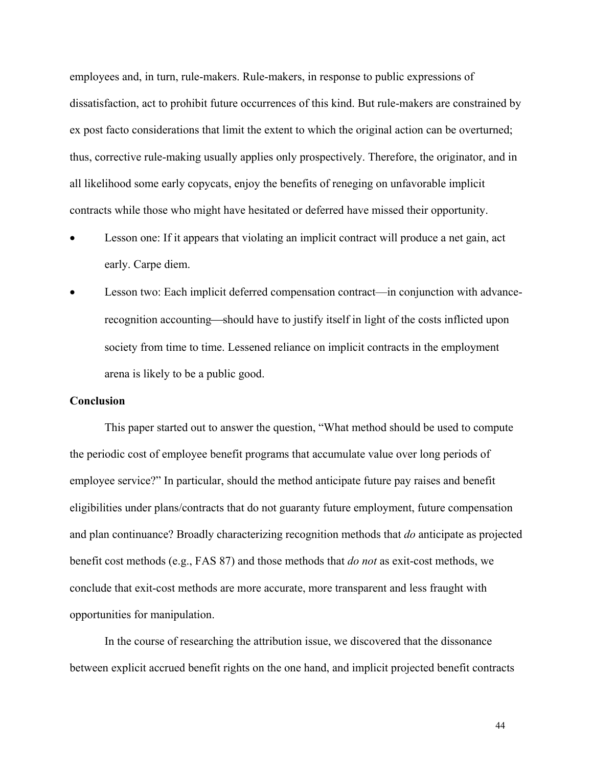employees and, in turn, rule-makers. Rule-makers, in response to public expressions of dissatisfaction, act to prohibit future occurrences of this kind. But rule-makers are constrained by ex post facto considerations that limit the extent to which the original action can be overturned; thus, corrective rule-making usually applies only prospectively. Therefore, the originator, and in all likelihood some early copycats, enjoy the benefits of reneging on unfavorable implicit contracts while those who might have hesitated or deferred have missed their opportunity.

- Lesson one: If it appears that violating an implicit contract will produce a net gain, act early. Carpe diem.
- Lesson two: Each implicit deferred compensation contract—in conjunction with advancerecognition accounting—should have to justify itself in light of the costs inflicted upon society from time to time. Lessened reliance on implicit contracts in the employment arena is likely to be a public good.

## **Conclusion**

This paper started out to answer the question, "What method should be used to compute the periodic cost of employee benefit programs that accumulate value over long periods of employee service?" In particular, should the method anticipate future pay raises and benefit eligibilities under plans/contracts that do not guaranty future employment, future compensation and plan continuance? Broadly characterizing recognition methods that *do* anticipate as projected benefit cost methods (e.g., FAS 87) and those methods that *do not* as exit-cost methods, we conclude that exit-cost methods are more accurate, more transparent and less fraught with opportunities for manipulation.

In the course of researching the attribution issue, we discovered that the dissonance between explicit accrued benefit rights on the one hand, and implicit projected benefit contracts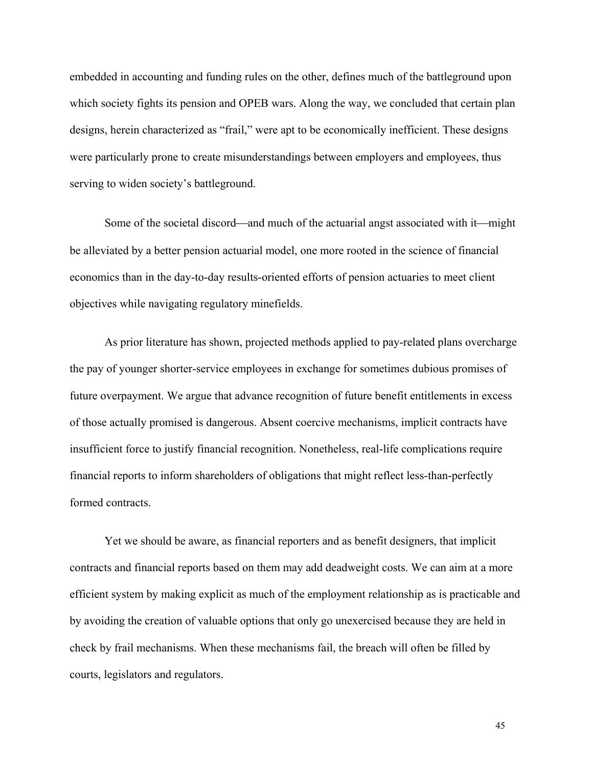embedded in accounting and funding rules on the other, defines much of the battleground upon which society fights its pension and OPEB wars. Along the way, we concluded that certain plan designs, herein characterized as "frail," were apt to be economically inefficient. These designs were particularly prone to create misunderstandings between employers and employees, thus serving to widen society's battleground.

Some of the societal discord—and much of the actuarial angst associated with it—might be alleviated by a better pension actuarial model, one more rooted in the science of financial economics than in the day-to-day results-oriented efforts of pension actuaries to meet client objectives while navigating regulatory minefields.

As prior literature has shown, projected methods applied to pay-related plans overcharge the pay of younger shorter-service employees in exchange for sometimes dubious promises of future overpayment. We argue that advance recognition of future benefit entitlements in excess of those actually promised is dangerous. Absent coercive mechanisms, implicit contracts have insufficient force to justify financial recognition. Nonetheless, real-life complications require financial reports to inform shareholders of obligations that might reflect less-than-perfectly formed contracts.

Yet we should be aware, as financial reporters and as benefit designers, that implicit contracts and financial reports based on them may add deadweight costs. We can aim at a more efficient system by making explicit as much of the employment relationship as is practicable and by avoiding the creation of valuable options that only go unexercised because they are held in check by frail mechanisms. When these mechanisms fail, the breach will often be filled by courts, legislators and regulators.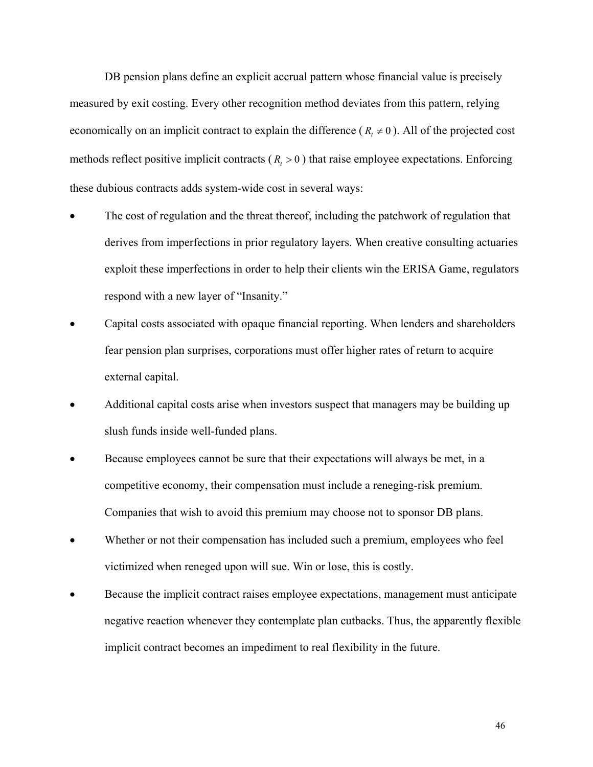DB pension plans define an explicit accrual pattern whose financial value is precisely measured by exit costing. Every other recognition method deviates from this pattern, relying economically on an implicit contract to explain the difference ( $R_t \neq 0$ ). All of the projected cost methods reflect positive implicit contracts ( $R_t > 0$ ) that raise employee expectations. Enforcing these dubious contracts adds system-wide cost in several ways:

- The cost of regulation and the threat thereof, including the patchwork of regulation that derives from imperfections in prior regulatory layers. When creative consulting actuaries exploit these imperfections in order to help their clients win the ERISA Game, regulators respond with a new layer of "Insanity."
- Capital costs associated with opaque financial reporting. When lenders and shareholders fear pension plan surprises, corporations must offer higher rates of return to acquire external capital.
- Additional capital costs arise when investors suspect that managers may be building up slush funds inside well-funded plans.
- Because employees cannot be sure that their expectations will always be met, in a competitive economy, their compensation must include a reneging-risk premium. Companies that wish to avoid this premium may choose not to sponsor DB plans.
- Whether or not their compensation has included such a premium, employees who feel victimized when reneged upon will sue. Win or lose, this is costly.
- Because the implicit contract raises employee expectations, management must anticipate negative reaction whenever they contemplate plan cutbacks. Thus, the apparently flexible implicit contract becomes an impediment to real flexibility in the future.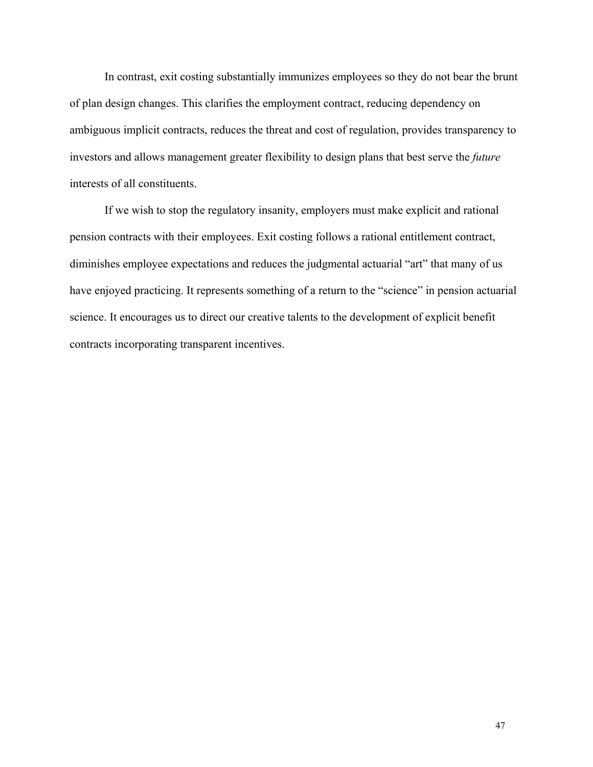In contrast, exit costing substantially immunizes employees so they do not bear the brunt of plan design changes. This clarifies the employment contract, reducing dependency on ambiguous implicit contracts, reduces the threat and cost of regulation, provides transparency to investors and allows management greater flexibility to design plans that best serve the *future* interests of all constituents.

If we wish to stop the regulatory insanity, employers must make explicit and rational pension contracts with their employees. Exit costing follows a rational entitlement contract, diminishes employee expectations and reduces the judgmental actuarial "art" that many of us have enjoyed practicing. It represents something of a return to the "science" in pension actuarial science. It encourages us to direct our creative talents to the development of explicit benefit contracts incorporating transparent incentives.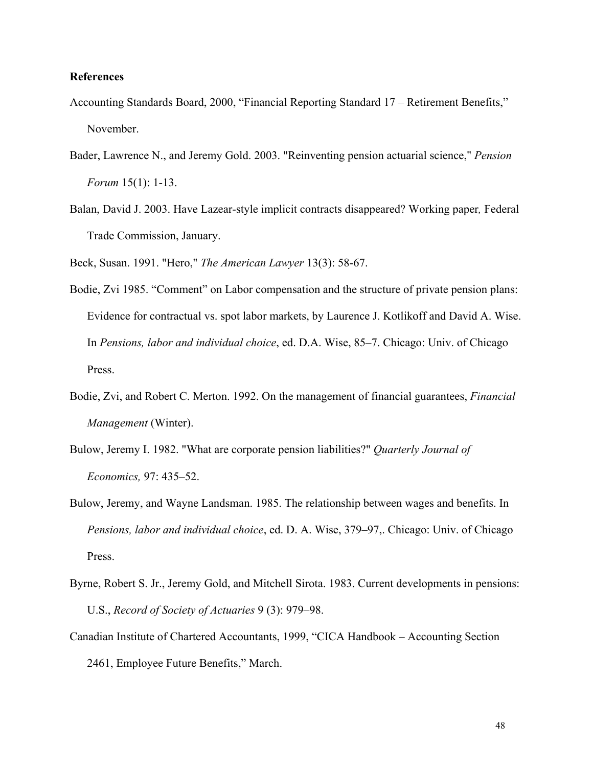## **References**

- Accounting Standards Board, 2000, "Financial Reporting Standard 17 Retirement Benefits," November.
- Bader, Lawrence N., and Jeremy Gold. 2003. "Reinventing pension actuarial science," *Pension Forum* 15(1): 1-13.
- Balan, David J. 2003. Have Lazear-style implicit contracts disappeared? Working paper*,* Federal Trade Commission, January.

Beck, Susan. 1991. "Hero," *The American Lawyer* 13(3): 58-67.

- Bodie, Zvi 1985. "Comment" on Labor compensation and the structure of private pension plans: Evidence for contractual vs. spot labor markets, by Laurence J. Kotlikoff and David A. Wise. In *Pensions, labor and individual choice*, ed. D.A. Wise, 85–7. Chicago: Univ. of Chicago Press.
- Bodie, Zvi, and Robert C. Merton. 1992. On the management of financial guarantees, *Financial Management* (Winter).
- Bulow, Jeremy I. 1982. "What are corporate pension liabilities?" *Quarterly Journal of Economics,* 97: 435–52.
- Bulow, Jeremy, and Wayne Landsman. 1985. The relationship between wages and benefits. In *Pensions, labor and individual choice*, ed. D. A. Wise, 379–97,. Chicago: Univ. of Chicago Press.
- Byrne, Robert S. Jr., Jeremy Gold, and Mitchell Sirota. 1983. Current developments in pensions: U.S., *Record of Society of Actuaries* 9 (3): 979–98.
- Canadian Institute of Chartered Accountants, 1999, "CICA Handbook Accounting Section 2461, Employee Future Benefits," March.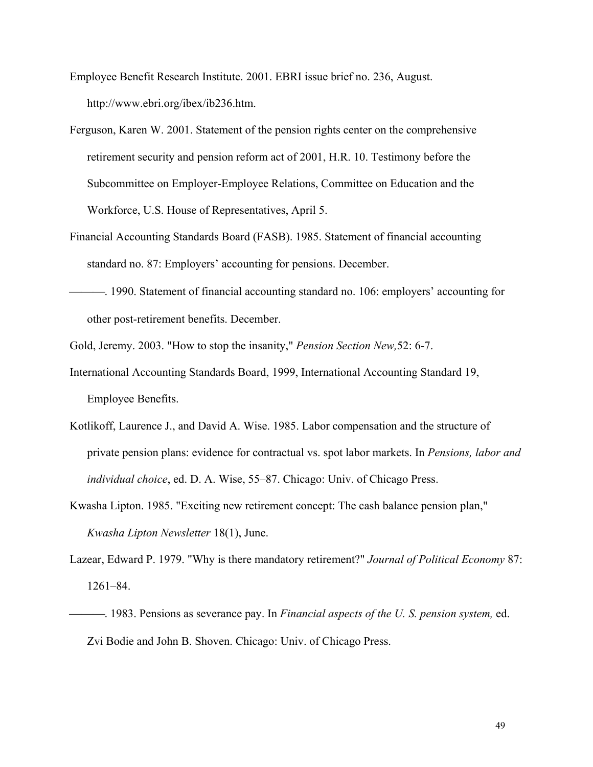- Employee Benefit Research Institute. 2001. EBRI issue brief no. 236, August. http://www.ebri.org/ibex/ib236.htm.
- Ferguson, Karen W. 2001. Statement of the pension rights center on the comprehensive retirement security and pension reform act of 2001, H.R. 10. Testimony before the Subcommittee on Employer-Employee Relations, Committee on Education and the Workforce, U.S. House of Representatives, April 5.
- Financial Accounting Standards Board (FASB). 1985. Statement of financial accounting standard no. 87: Employers' accounting for pensions. December.
- . 1990. Statement of financial accounting standard no. 106: employers' accounting for other post-retirement benefits. December.
- Gold, Jeremy. 2003. "How to stop the insanity," *Pension Section New,*52: 6-7.
- International Accounting Standards Board, 1999, International Accounting Standard 19, Employee Benefits.
- Kotlikoff, Laurence J., and David A. Wise. 1985. Labor compensation and the structure of private pension plans: evidence for contractual vs. spot labor markets. In *Pensions, labor and individual choice*, ed. D. A. Wise, 55–87. Chicago: Univ. of Chicago Press.
- Kwasha Lipton. 1985. "Exciting new retirement concept: The cash balance pension plan," *Kwasha Lipton Newsletter* 18(1), June.
- Lazear, Edward P. 1979. "Why is there mandatory retirement?" *Journal of Political Economy* 87: 1261–84.
- . 1983. Pensions as severance pay. In *Financial aspects of the U. S. pension system,* ed. Zvi Bodie and John B. Shoven. Chicago: Univ. of Chicago Press.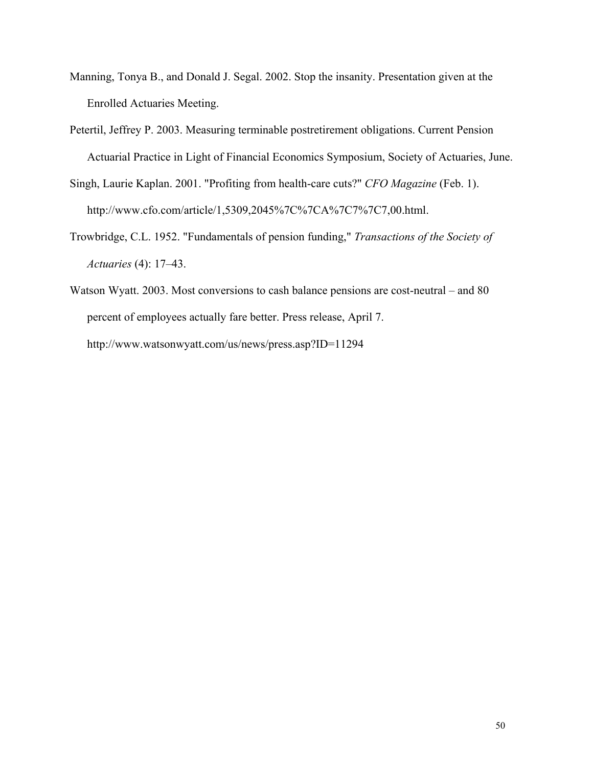- Manning, Tonya B., and Donald J. Segal. 2002. Stop the insanity. Presentation given at the Enrolled Actuaries Meeting.
- Petertil, Jeffrey P. 2003. Measuring terminable postretirement obligations. Current Pension Actuarial Practice in Light of Financial Economics Symposium, Society of Actuaries, June.
- Singh, Laurie Kaplan. 2001. "Profiting from health-care cuts?" *CFO Magazine* (Feb. 1). http://www.cfo.com/article/1,5309,2045%7C%7CA%7C7%7C7,00.html.
- Trowbridge, C.L. 1952. "Fundamentals of pension funding," *Transactions of the Society of Actuaries* (4): 17–43.
- Watson Wyatt. 2003. Most conversions to cash balance pensions are cost-neutral and 80 percent of employees actually fare better. Press release, April 7. http://www.watsonwyatt.com/us/news/press.asp?ID=11294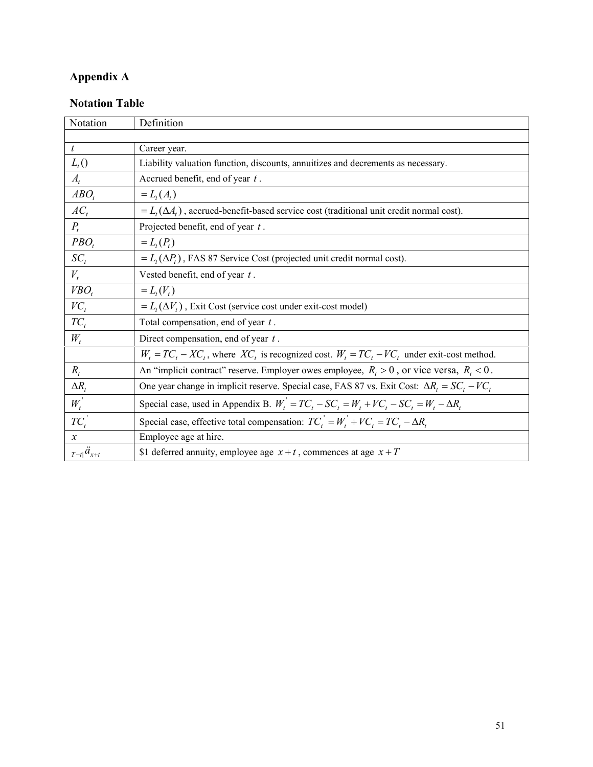# **Appendix A**

## **Notation Table**

| Notation             | Definition                                                                                              |
|----------------------|---------------------------------------------------------------------------------------------------------|
|                      |                                                                                                         |
| $\boldsymbol{t}$     | Career year.                                                                                            |
| $L_t()$              | Liability valuation function, discounts, annuitizes and decrements as necessary.                        |
| $A_t$                | Accrued benefit, end of year $t$ .                                                                      |
| $ABO_t$              | $=L_{t}(A_{t})$                                                                                         |
| $AC_t$               | $= L_t(\Delta A_t)$ , accrued-benefit-based service cost (traditional unit credit normal cost).         |
| $P_t$                | Projected benefit, end of year $t$ .                                                                    |
| $PBO_t$              | $=L_t(P_t)$                                                                                             |
| $SC_t$               | $= L_t(\Delta P_t)$ , FAS 87 Service Cost (projected unit credit normal cost).                          |
| $V_t$                | Vested benefit, end of year $t$ .                                                                       |
| $VBO_t$              | $=L_t(V_t)$                                                                                             |
| $\mathit{VC}_t$      | $= L_t(\Delta V_t)$ , Exit Cost (service cost under exit-cost model)                                    |
| $TC_t$               | Total compensation, end of year $t$ .                                                                   |
| $W_t$                | Direct compensation, end of year $t$ .                                                                  |
|                      | $W_t = TC_t - XC_t$ , where $XC_t$ is recognized cost. $W_t = TC_t - VC_t$ under exit-cost method.      |
| $R_t$                | An "implicit contract" reserve. Employer owes employee, $R_t > 0$ , or vice versa, $R_t < 0$ .          |
| $\Delta R_t$         | One year change in implicit reserve. Special case, FAS 87 vs. Exit Cost: $\Delta R_t = SC_t - VC_t$     |
| $W_t$                | Special case, used in Appendix B. $W_t = TC_t - SC_t = W_t + VC_t - SC_t = W_t - \Delta R_t$            |
| $TC_{t}^{'}$         | Special case, effective total compensation: $TC_t^{\dagger} = W_t^{\dagger} + VC_t = TC_t - \Delta R_t$ |
| $\boldsymbol{\chi}$  | Employee age at hire.                                                                                   |
| $T-t \ddot{a}_{x+t}$ | \$1 deferred annuity, employee age $x + t$ , commences at age $x + T$                                   |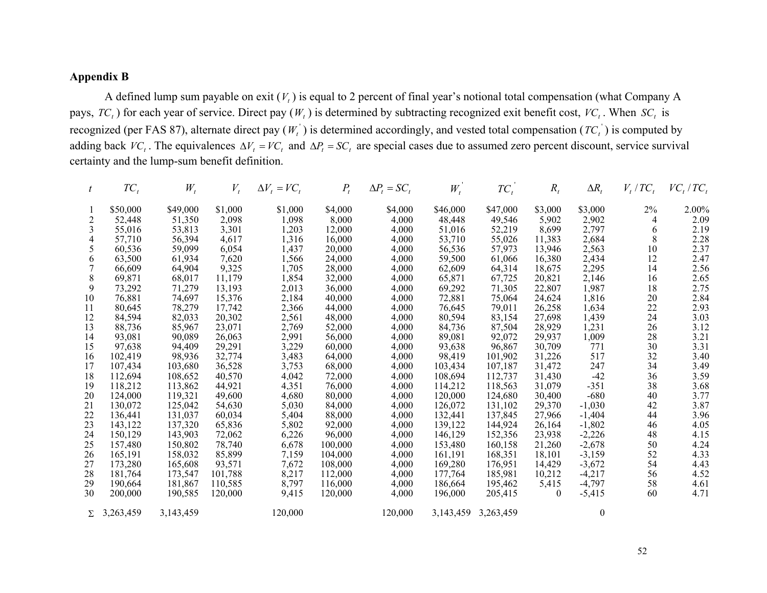## **Appendix B**

A defined lump sum payable on exit  $(V_t)$  is equal to 2 percent of final year's notional total compensation (what Company A pays,  $TC_t$ ) for each year of service. Direct pay  $(W_t)$  is determined by subtracting recognized exit benefit cost,  $VC_t$ . When  $SC_t$  is recognized (per FAS 87), alternate direct pay  $(W_t)$  is determined accordingly, and vested total compensation  $(TC_t)$  is computed by adding back *VC<sub>t</sub>*. The equivalences  $\Delta V_t = V_c$  and  $\Delta P_t = SC_t$  are special cases due to assumed zero percent discount, service survival certainty and the lump-sum benefit definition.

|             | $TC_t$             | $W_{t}$   | $V_{t}$ | $\Delta V_t = V C_t$ | $P_{t}$ | $\Delta P_t = SC_t$ | $W_{t}$  | $TC_t$              | $R_{t}$  | $\Delta R_t$ | $V_t / TC_t$ | $VC_t/TC_t$ |
|-------------|--------------------|-----------|---------|----------------------|---------|---------------------|----------|---------------------|----------|--------------|--------------|-------------|
|             | \$50,000           | \$49,000  | \$1,000 | \$1,000              | \$4,000 | \$4,000             | \$46,000 | \$47,000            | \$3,000  | \$3,000      | 2%           | 2.00%       |
|             | 52,448             | 51,350    | 2,098   | 1,098                | 8,000   | 4,000               | 48,448   | 49,546              | 5,902    | 2,902        | 4            | 2.09        |
| 3           | 55,016             | 53,813    | 3,301   | 1,203                | 12,000  | 4,000               | 51,016   | 52,219              | 8,699    | 2,797        |              | 2.19        |
|             | 57,710             | 56,394    | 4,617   | 1,316                | 16,000  | 4.000               | 53,710   | 55,026              | 11,383   | 2,684        | 8            | 2.28        |
| 5           | 60,536             | 59,099    | 6,054   | 1,437                | 20,000  | 4,000               | 56,536   | 57,973              | 13,946   | 2,563        | 10           | 2.37        |
| 6           | 63,500             | 61,934    | 7,620   | 1,566                | 24,000  | 4,000               | 59,500   | 61,066              | 16,380   | 2,434        | 12           | 2.47        |
|             | 66,609             | 64,904    | 9,325   | 1,705                | 28,000  | 4,000               | 62,609   | 64,314              | 18,675   | 2,295        | 14           | 2.56        |
| $\,$ 8 $\,$ | 69.871             | 68,017    | 11,179  | 1,854                | 32,000  | 4.000               | 65,871   | 67.725              | 20,821   | 2,146        | 16           | 2.65        |
| 9           | 73,292             | 71.279    | 13,193  | 2,013                | 36,000  | 4.000               | 69,292   | 71,305              | 22.807   | 1,987        | 18           | 2.75        |
| 10          | 76,881             | 74,697    | 15,376  | 2,184                | 40,000  | 4,000               | 72,881   | 75,064              | 24,624   | 1,816        | 20           | 2.84        |
| 11          | 80,645             | 78,279    | 17,742  | 2,366                | 44,000  | 4,000               | 76,645   | 79,011              | 26,258   | 1,634        | 22           | 2.93        |
| 12          | 84,594             | 82,033    | 20,302  | 2,561                | 48,000  | 4,000               | 80,594   | 83,154              | 27,698   | 1,439        | 24           | 3.03        |
| 13          | 88,736             | 85,967    | 23,071  | 2,769                | 52,000  | 4,000               | 84,736   | 87,504              | 28,929   | 1,231        | 26           | 3.12        |
| 14          | 93,081             | 90,089    | 26,063  | 2,991                | 56,000  | 4,000               | 89,081   | 92,072              | 29,937   | 1,009        | 28           | 3.21        |
| 15          | 97,638             | 94,409    | 29,291  | 3,229                | 60,000  | 4.000               | 93,638   | 96,867              | 30,709   | 771          | 30           | 3.31        |
| 16          | 102,419            | 98,936    | 32,774  | 3,483                | 64,000  | 4,000               | 98,419   | 101,902             | 31,226   | 517          | 32           | 3.40        |
| 17          | 107,434            | 103,680   | 36,528  | 3,753                | 68,000  | 4,000               | 103,434  | 107,187             | 31,472   | 247          | 34           | 3.49        |
| 18          | 112,694            | 108,652   | 40,570  | 4,042                | 72,000  | 4,000               | 108,694  | 112,737             | 31,430   | $-42$        | 36           | 3.59        |
| 19          | 118.212            | 113,862   | 44,921  | 4,351                | 76,000  | 4.000               | 114,212  | 118,563             | 31,079   | $-351$       | 38           | 3.68        |
| 20          | 124,000            | 119,321   | 49,600  | 4,680                | 80,000  | 4,000               | 120,000  | 124,680             | 30,400   | $-680$       | 40           | 3.77        |
| 21          | 130,072            | 125,042   | 54,630  | 5,030                | 84,000  | 4,000               | 126,072  | 131,102             | 29,370   | $-1,030$     | 42           | 3.87        |
| 22          | 136,441            | 131,037   | 60,034  | 5,404                | 88,000  | 4,000               | 132,441  | 137,845             | 27,966   | $-1,404$     | 44           | 3.96        |
| 23          | 143,122            | 137,320   | 65,836  | 5,802                | 92,000  | 4,000               | 139,122  | 144,924             | 26,164   | $-1,802$     | 46           | 4.05        |
| 24          | 150.129            | 143,903   | 72,062  | 6,226                | 96,000  | 4,000               | 146,129  | 152,356             | 23,938   | $-2,226$     | 48           | 4.15        |
| 25          | 157,480            | 150,802   | 78,740  | 6,678                | 100,000 | 4,000               | 153,480  | 160,158             | 21,260   | $-2,678$     | 50           | 4.24        |
| 26          | 165,191            | 158,032   | 85,899  | 7,159                | 104,000 | 4.000               | 161,191  | 168,351             | 18,101   | $-3,159$     | 52           | 4.33        |
| 27          | 173,280            | 165,608   | 93,571  | 7,672                | 108,000 | 4.000               | 169,280  | 176,951             | 14,429   | $-3,672$     | 54           | 4.43        |
| 28          | 181,764            | 173,547   | 101,788 | 8,217                | 112,000 | 4,000               | 177,764  | 185,981             | 10,212   | $-4,217$     | 56           | 4.52        |
| 29          | 190,664            | 181,867   | 110,585 | 8,797                | 116,000 | 4,000               | 186,664  | 195,462             | 5,415    | $-4,797$     | 58           | 4.61        |
| 30          | 200,000            | 190,585   | 120,000 | 9,415                | 120,000 | 4,000               | 196,000  | 205,415             | $\theta$ | $-5,415$     | 60           | 4.71        |
|             | $\Sigma$ 3,263,459 | 3,143,459 |         | 120,000              |         | 120,000             |          | 3,143,459 3,263,459 |          | $\theta$     |              |             |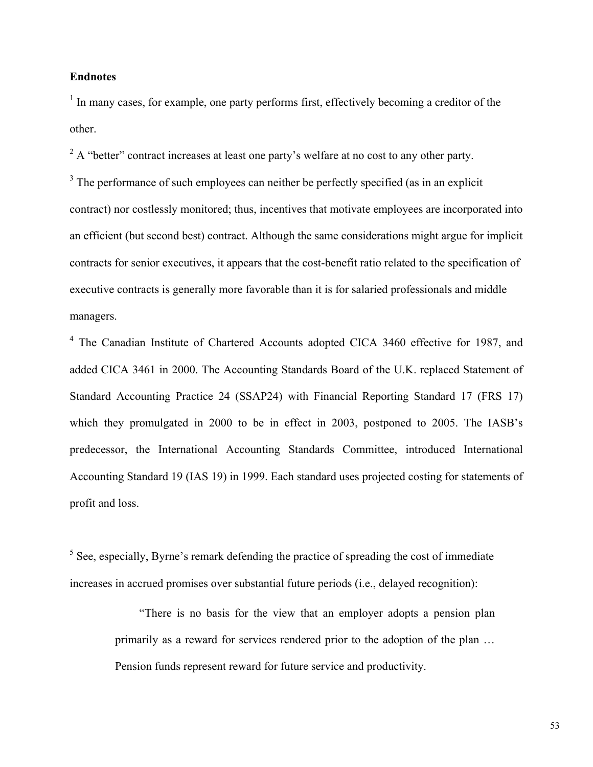## **Endnotes**

<sup>1</sup> In many cases, for example, one party performs first, effectively becoming a creditor of the other.

 $2^2$  A "better" contract increases at least one party's welfare at no cost to any other party.

 $3$  The performance of such employees can neither be perfectly specified (as in an explicit contract) nor costlessly monitored; thus, incentives that motivate employees are incorporated into an efficient (but second best) contract. Although the same considerations might argue for implicit contracts for senior executives, it appears that the cost-benefit ratio related to the specification of executive contracts is generally more favorable than it is for salaried professionals and middle managers.

<sup>4</sup> The Canadian Institute of Chartered Accounts adopted CICA 3460 effective for 1987, and added CICA 3461 in 2000. The Accounting Standards Board of the U.K. replaced Statement of Standard Accounting Practice 24 (SSAP24) with Financial Reporting Standard 17 (FRS 17) which they promulgated in 2000 to be in effect in 2003, postponed to 2005. The IASB's predecessor, the International Accounting Standards Committee, introduced International Accounting Standard 19 (IAS 19) in 1999. Each standard uses projected costing for statements of profit and loss.

 $<sup>5</sup>$  See, especially, Byrne's remark defending the practice of spreading the cost of immediate</sup> increases in accrued promises over substantial future periods (i.e., delayed recognition):

> "There is no basis for the view that an employer adopts a pension plan primarily as a reward for services rendered prior to the adoption of the plan … Pension funds represent reward for future service and productivity.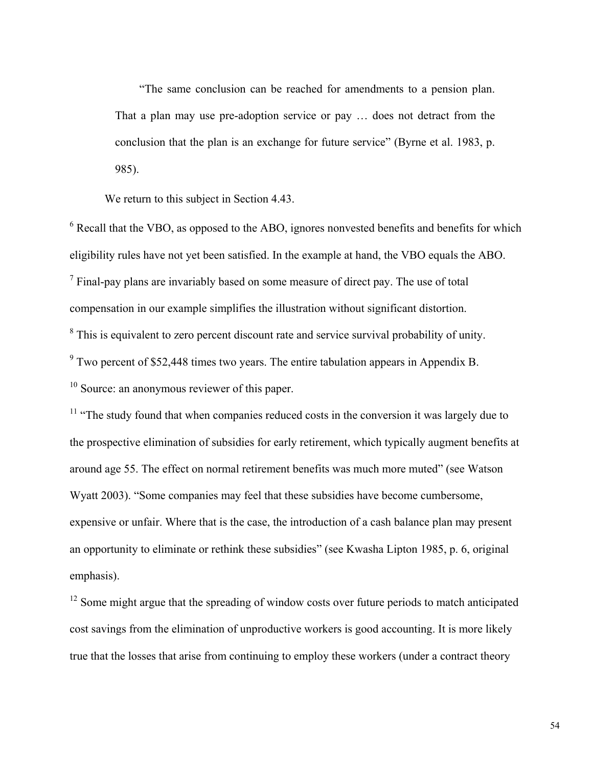"The same conclusion can be reached for amendments to a pension plan. That a plan may use pre-adoption service or pay … does not detract from the conclusion that the plan is an exchange for future service" (Byrne et al. 1983, p. 985).

We return to this subject in Section 4.43.

 $6$  Recall that the VBO, as opposed to the ABO, ignores nonvested benefits and benefits for which eligibility rules have not yet been satisfied. In the example at hand, the VBO equals the ABO.  $<sup>7</sup>$  Final-pay plans are invariably based on some measure of direct pay. The use of total</sup> compensation in our example simplifies the illustration without significant distortion. <sup>8</sup> This is equivalent to zero percent discount rate and service survival probability of unity.  $9^9$  Two percent of \$52,448 times two years. The entire tabulation appears in Appendix B. <sup>10</sup> Source: an anonymous reviewer of this paper.

<sup>11</sup> "The study found that when companies reduced costs in the conversion it was largely due to the prospective elimination of subsidies for early retirement, which typically augment benefits at around age 55. The effect on normal retirement benefits was much more muted" (see Watson Wyatt 2003). "Some companies may feel that these subsidies have become cumbersome, expensive or unfair. Where that is the case, the introduction of a cash balance plan may present an opportunity to eliminate or rethink these subsidies" (see Kwasha Lipton 1985, p. 6, original emphasis).

<sup>12</sup> Some might argue that the spreading of window costs over future periods to match anticipated cost savings from the elimination of unproductive workers is good accounting. It is more likely true that the losses that arise from continuing to employ these workers (under a contract theory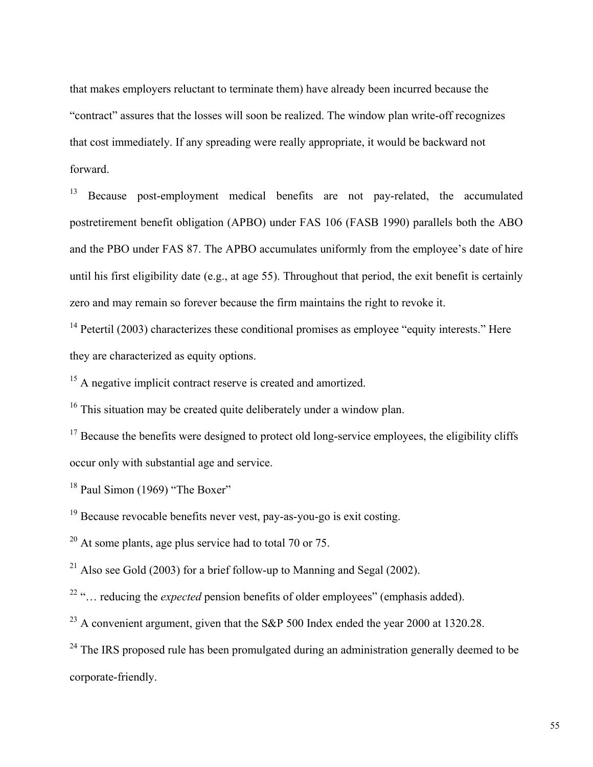that makes employers reluctant to terminate them) have already been incurred because the "contract" assures that the losses will soon be realized. The window plan write-off recognizes that cost immediately. If any spreading were really appropriate, it would be backward not forward.

<sup>13</sup> Because post-employment medical benefits are not pay-related, the accumulated postretirement benefit obligation (APBO) under FAS 106 (FASB 1990) parallels both the ABO and the PBO under FAS 87. The APBO accumulates uniformly from the employee's date of hire until his first eligibility date (e.g., at age 55). Throughout that period, the exit benefit is certainly zero and may remain so forever because the firm maintains the right to revoke it.

 $14$  Petertil (2003) characterizes these conditional promises as employee "equity interests." Here they are characterized as equity options.

<sup>15</sup> A negative implicit contract reserve is created and amortized.

<sup>16</sup> This situation may be created quite deliberately under a window plan.

<sup>17</sup> Because the benefits were designed to protect old long-service employees, the eligibility cliffs occur only with substantial age and service.

<sup>18</sup> Paul Simon (1969) "The Boxer"

<sup>19</sup> Because revocable benefits never vest, pay-as-you-go is exit costing.

 $20$  At some plants, age plus service had to total 70 or 75.

<sup>21</sup> Also see Gold (2003) for a brief follow-up to Manning and Segal (2002).

22 "… reducing the *expected* pension benefits of older employees" (emphasis added).

<sup>23</sup> A convenient argument, given that the S&P 500 Index ended the year 2000 at 1320.28.

 $24$  The IRS proposed rule has been promulgated during an administration generally deemed to be corporate-friendly.